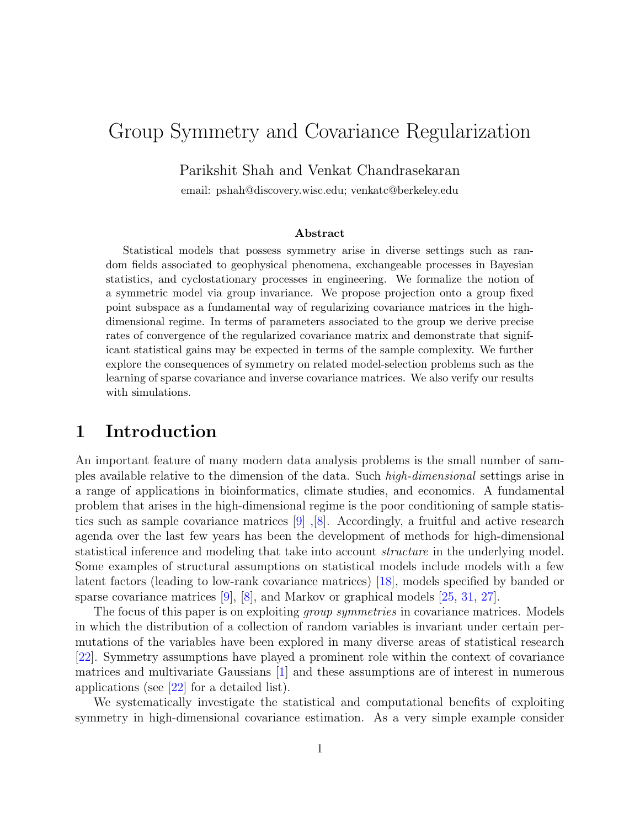# Group Symmetry and Covariance Regularization

Parikshit Shah and Venkat Chandrasekaran

email: pshah@discovery.wisc.edu; venkatc@berkeley.edu

#### Abstract

Statistical models that possess symmetry arise in diverse settings such as random fields associated to geophysical phenomena, exchangeable processes in Bayesian statistics, and cyclostationary processes in engineering. We formalize the notion of a symmetric model via group invariance. We propose projection onto a group fixed point subspace as a fundamental way of regularizing covariance matrices in the highdimensional regime. In terms of parameters associated to the group we derive precise rates of convergence of the regularized covariance matrix and demonstrate that significant statistical gains may be expected in terms of the sample complexity. We further explore the consequences of symmetry on related model-selection problems such as the learning of sparse covariance and inverse covariance matrices. We also verify our results with simulations.

### <span id="page-0-0"></span>1 Introduction

An important feature of many modern data analysis problems is the small number of samples available relative to the dimension of the data. Such high-dimensional settings arise in a range of applications in bioinformatics, climate studies, and economics. A fundamental problem that arises in the high-dimensional regime is the poor conditioning of sample statistics such as sample covariance matrices [\[9\]](#page-29-0),[\[8\]](#page-29-1). Accordingly, a fruitful and active research agenda over the last few years has been the development of methods for high-dimensional statistical inference and modeling that take into account structure in the underlying model. Some examples of structural assumptions on statistical models include models with a few latent factors (leading to low-rank covariance matrices) [\[18\]](#page-29-2), models specified by banded or sparse covariance matrices  $[9]$ ,  $[8]$ , and Markov or graphical models  $[25, 31, 27]$  $[25, 31, 27]$  $[25, 31, 27]$  $[25, 31, 27]$ .

The focus of this paper is on exploiting *group symmetries* in covariance matrices. Models in which the distribution of a collection of random variables is invariant under certain permutations of the variables have been explored in many diverse areas of statistical research [\[22\]](#page-30-3). Symmetry assumptions have played a prominent role within the context of covariance matrices and multivariate Gaussians [\[1\]](#page-28-0) and these assumptions are of interest in numerous applications (see  $[22]$  for a detailed list).

We systematically investigate the statistical and computational benefits of exploiting symmetry in high-dimensional covariance estimation. As a very simple example consider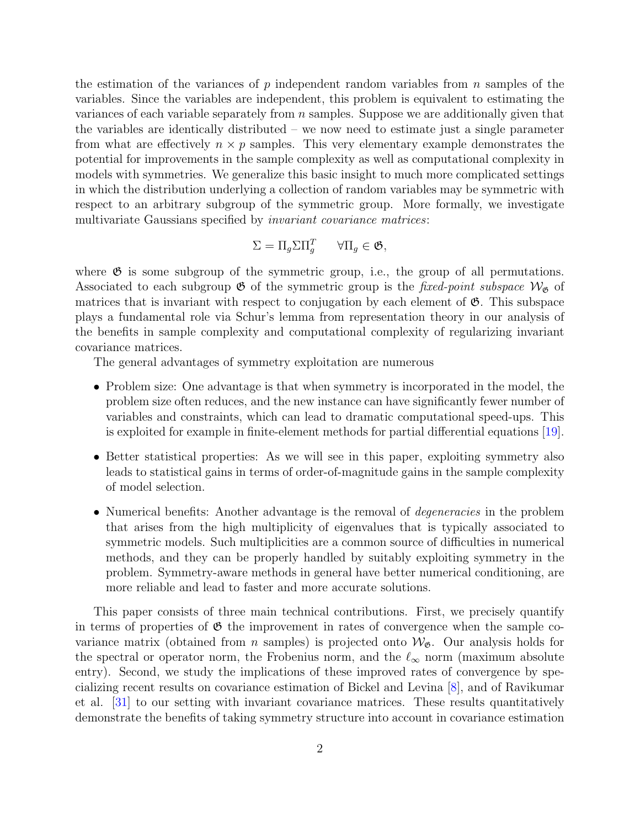the estimation of the variances of  $p$  independent random variables from  $n$  samples of the variables. Since the variables are independent, this problem is equivalent to estimating the variances of each variable separately from  $n$  samples. Suppose we are additionally given that the variables are identically distributed – we now need to estimate just a single parameter from what are effectively  $n \times p$  samples. This very elementary example demonstrates the potential for improvements in the sample complexity as well as computational complexity in models with symmetries. We generalize this basic insight to much more complicated settings in which the distribution underlying a collection of random variables may be symmetric with respect to an arbitrary subgroup of the symmetric group. More formally, we investigate multivariate Gaussians specified by invariant covariance matrices:

$$
\Sigma = \Pi_g \Sigma \Pi_g^T \qquad \forall \Pi_g \in \mathfrak{G},
$$

where  $\mathfrak G$  is some subgroup of the symmetric group, i.e., the group of all permutations. Associated to each subgroup  $\mathfrak G$  of the symmetric group is the fixed-point subspace  $\mathcal W_{\mathfrak G}$  of matrices that is invariant with respect to conjugation by each element of  $\mathfrak{G}$ . This subspace plays a fundamental role via Schur's lemma from representation theory in our analysis of the benefits in sample complexity and computational complexity of regularizing invariant covariance matrices.

The general advantages of symmetry exploitation are numerous

- Problem size: One advantage is that when symmetry is incorporated in the model, the problem size often reduces, and the new instance can have significantly fewer number of variables and constraints, which can lead to dramatic computational speed-ups. This is exploited for example in finite-element methods for partial differential equations [\[19\]](#page-29-3).
- Better statistical properties: As we will see in this paper, exploiting symmetry also leads to statistical gains in terms of order-of-magnitude gains in the sample complexity of model selection.
- Numerical benefits: Another advantage is the removal of *degeneracies* in the problem that arises from the high multiplicity of eigenvalues that is typically associated to symmetric models. Such multiplicities are a common source of difficulties in numerical methods, and they can be properly handled by suitably exploiting symmetry in the problem. Symmetry-aware methods in general have better numerical conditioning, are more reliable and lead to faster and more accurate solutions.

This paper consists of three main technical contributions. First, we precisely quantify in terms of properties of  $\mathfrak G$  the improvement in rates of convergence when the sample covariance matrix (obtained from *n* samples) is projected onto  $\mathcal{W}_{\mathfrak{G}}$ . Our analysis holds for the spectral or operator norm, the Frobenius norm, and the  $\ell_{\infty}$  norm (maximum absolute entry). Second, we study the implications of these improved rates of convergence by specializing recent results on covariance estimation of Bickel and Levina [\[8\]](#page-29-1), and of Ravikumar et al. [\[31\]](#page-30-1) to our setting with invariant covariance matrices. These results quantitatively demonstrate the benefits of taking symmetry structure into account in covariance estimation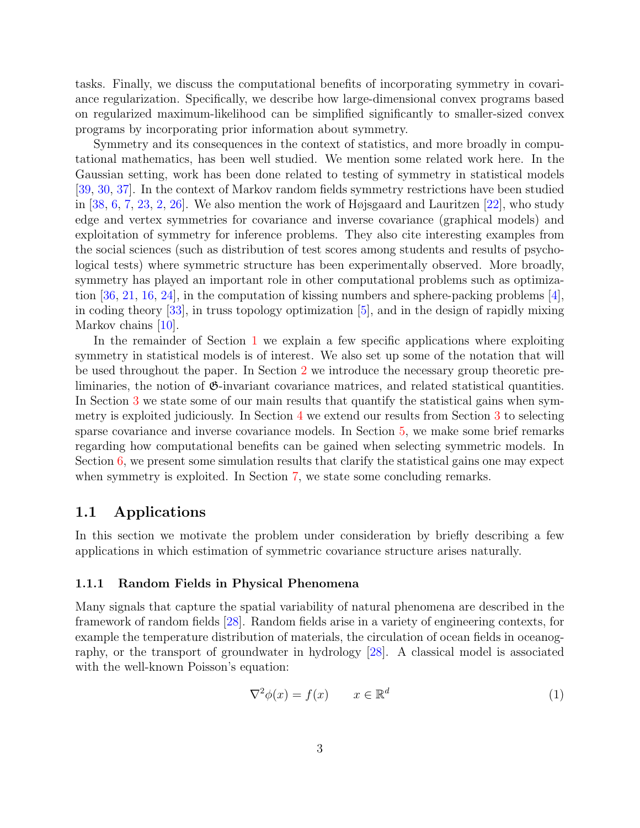tasks. Finally, we discuss the computational benefits of incorporating symmetry in covariance regularization. Specifically, we describe how large-dimensional convex programs based on regularized maximum-likelihood can be simplified significantly to smaller-sized convex programs by incorporating prior information about symmetry.

Symmetry and its consequences in the context of statistics, and more broadly in computational mathematics, has been well studied. We mention some related work here. In the Gaussian setting, work has been done related to testing of symmetry in statistical models [\[39,](#page-31-0) [30,](#page-30-4) [37\]](#page-30-5). In the context of Markov random fields symmetry restrictions have been studied in [\[38,](#page-31-1) [6,](#page-28-1) [7,](#page-29-4) [23,](#page-30-6) [2,](#page-28-2) [26\]](#page-30-7). We also mention the work of Højsgaard and Lauritzen [\[22\]](#page-30-3), who study edge and vertex symmetries for covariance and inverse covariance (graphical models) and exploitation of symmetry for inference problems. They also cite interesting examples from the social sciences (such as distribution of test scores among students and results of psychological tests) where symmetric structure has been experimentally observed. More broadly, symmetry has played an important role in other computational problems such as optimiza-tion [\[36,](#page-30-8) [21,](#page-29-5) [16,](#page-29-6) [24\]](#page-30-9), in the computation of kissing numbers and sphere-packing problems [\[4\]](#page-28-3), in coding theory [\[33\]](#page-30-10), in truss topology optimization [\[5\]](#page-28-4), and in the design of rapidly mixing Markov chains  $|10|$ .

In the remainder of Section [1](#page-0-0) we explain a few specific applications where exploiting symmetry in statistical models is of interest. We also set up some of the notation that will be used throughout the paper. In Section [2](#page-6-0) we introduce the necessary group theoretic preliminaries, the notion of  $\mathfrak{G}$ -invariant covariance matrices, and related statistical quantities. In Section [3](#page-14-0) we state some of our main results that quantify the statistical gains when symmetry is exploited judiciously. In Section [4](#page-17-0) we extend our results from Section [3](#page-14-0) to selecting sparse covariance and inverse covariance models. In Section [5,](#page-24-0) we make some brief remarks regarding how computational benefits can be gained when selecting symmetric models. In Section [6,](#page-25-0) we present some simulation results that clarify the statistical gains one may expect when symmetry is exploited. In Section [7,](#page-27-0) we state some concluding remarks.

### 1.1 Applications

In this section we motivate the problem under consideration by briefly describing a few applications in which estimation of symmetric covariance structure arises naturally.

#### 1.1.1 Random Fields in Physical Phenomena

Many signals that capture the spatial variability of natural phenomena are described in the framework of random fields [\[28\]](#page-30-11). Random fields arise in a variety of engineering contexts, for example the temperature distribution of materials, the circulation of ocean fields in oceanography, or the transport of groundwater in hydrology [\[28\]](#page-30-11). A classical model is associated with the well-known Poisson's equation:

<span id="page-2-0"></span>
$$
\nabla^2 \phi(x) = f(x) \qquad x \in \mathbb{R}^d \tag{1}
$$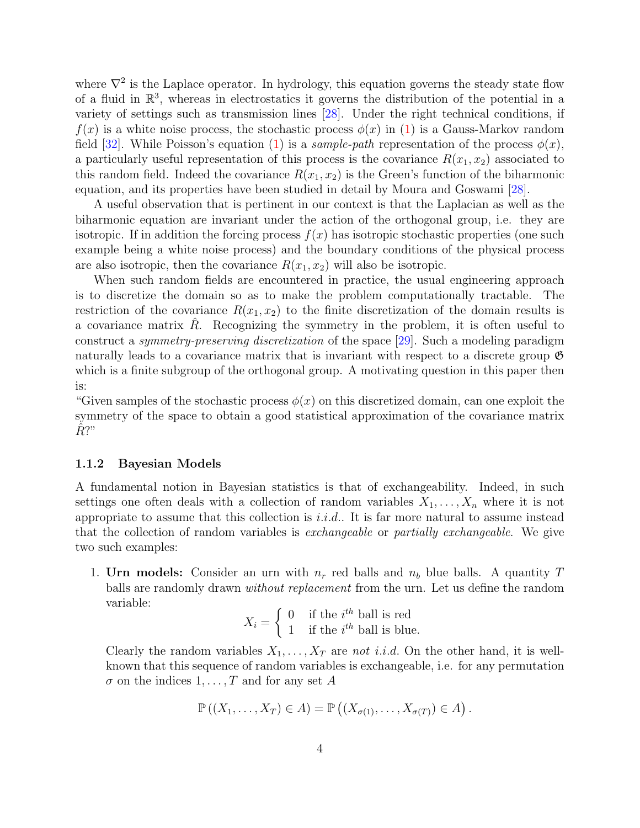where  $\nabla^2$  is the Laplace operator. In hydrology, this equation governs the steady state flow of a fluid in  $\mathbb{R}^3$ , whereas in electrostatics it governs the distribution of the potential in a variety of settings such as transmission lines [\[28\]](#page-30-11). Under the right technical conditions, if  $f(x)$  is a white noise process, the stochastic process  $\phi(x)$  in [\(1\)](#page-2-0) is a Gauss-Markov random field [\[32\]](#page-30-12). While Poisson's equation [\(1\)](#page-2-0) is a *sample-path* representation of the process  $\phi(x)$ , a particularly useful representation of this process is the covariance  $R(x_1, x_2)$  associated to this random field. Indeed the covariance  $R(x_1, x_2)$  is the Green's function of the biharmonic equation, and its properties have been studied in detail by Moura and Goswami [\[28\]](#page-30-11).

A useful observation that is pertinent in our context is that the Laplacian as well as the biharmonic equation are invariant under the action of the orthogonal group, i.e. they are isotropic. If in addition the forcing process  $f(x)$  has isotropic stochastic properties (one such example being a white noise process) and the boundary conditions of the physical process are also isotropic, then the covariance  $R(x_1, x_2)$  will also be isotropic.

When such random fields are encountered in practice, the usual engineering approach is to discretize the domain so as to make the problem computationally tractable. The restriction of the covariance  $R(x_1, x_2)$  to the finite discretization of the domain results is a covariance matrix  $R<sub>i</sub>$ . Recognizing the symmetry in the problem, it is often useful to construct a symmetry-preserving discretization of the space [\[29\]](#page-30-13). Such a modeling paradigm naturally leads to a covariance matrix that is invariant with respect to a discrete group  $\mathfrak{G}$ which is a finite subgroup of the orthogonal group. A motivating question in this paper then is:

"Given samples of the stochastic process  $\phi(x)$  on this discretized domain, can one exploit the symmetry of the space to obtain a good statistical approximation of the covariance matrix  $R$ <sup>?</sup>"

#### 1.1.2 Bayesian Models

A fundamental notion in Bayesian statistics is that of exchangeability. Indeed, in such settings one often deals with a collection of random variables  $X_1, \ldots, X_n$  where it is not appropriate to assume that this collection is  $i.i.d$ . It is far more natural to assume instead that the collection of random variables is exchangeable or partially exchangeable. We give two such examples:

1. Urn models: Consider an urn with  $n_r$  red balls and  $n_b$  blue balls. A quantity T balls are randomly drawn without replacement from the urn. Let us define the random variable:

$$
X_i = \begin{cases} 0 & \text{if the } i^{th} \text{ ball is red} \\ 1 & \text{if the } i^{th} \text{ ball is blue.} \end{cases}
$$

Clearly the random variables  $X_1, \ldots, X_T$  are not i.i.d. On the other hand, it is wellknown that this sequence of random variables is exchangeable, i.e. for any permutation  $\sigma$  on the indices  $1, \ldots, T$  and for any set A

$$
\mathbb{P}\left((X_1,\ldots,X_T)\in A\right)=\mathbb{P}\left((X_{\sigma(1)},\ldots,X_{\sigma(T)})\in A\right).
$$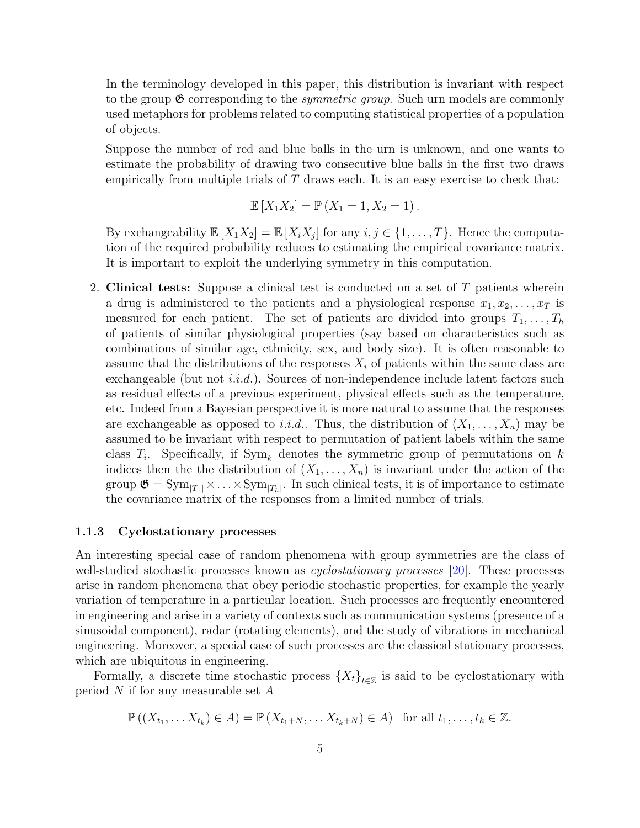In the terminology developed in this paper, this distribution is invariant with respect to the group  $\mathfrak{G}$  corresponding to the *symmetric group*. Such urn models are commonly used metaphors for problems related to computing statistical properties of a population of objects.

Suppose the number of red and blue balls in the urn is unknown, and one wants to estimate the probability of drawing two consecutive blue balls in the first two draws empirically from multiple trials of  $T$  draws each. It is an easy exercise to check that:

$$
\mathbb{E}[X_1 X_2] = \mathbb{P}(X_1 = 1, X_2 = 1).
$$

By exchangeability  $\mathbb{E}[X_1 X_2] = \mathbb{E}[X_i X_j]$  for any  $i, j \in \{1, ..., T\}$ . Hence the computation of the required probability reduces to estimating the empirical covariance matrix. It is important to exploit the underlying symmetry in this computation.

2. Clinical tests: Suppose a clinical test is conducted on a set of T patients wherein a drug is administered to the patients and a physiological response  $x_1, x_2, \ldots, x_T$  is measured for each patient. The set of patients are divided into groups  $T_1, \ldots, T_h$ of patients of similar physiological properties (say based on characteristics such as combinations of similar age, ethnicity, sex, and body size). It is often reasonable to assume that the distributions of the responses  $X_i$  of patients within the same class are exchangeable (but not  $i.i.d.$ ). Sources of non-independence include latent factors such as residual effects of a previous experiment, physical effects such as the temperature, etc. Indeed from a Bayesian perspective it is more natural to assume that the responses are exchangeable as opposed to *i.i.d.*. Thus, the distribution of  $(X_1, \ldots, X_n)$  may be assumed to be invariant with respect to permutation of patient labels within the same class  $T_i$ . Specifically, if  $Sym_k$  denotes the symmetric group of permutations on k indices then the the distribution of  $(X_1, \ldots, X_n)$  is invariant under the action of the group  $\mathfrak{G} = \text{Sym}_{|T_1|} \times \ldots \times \text{Sym}_{|T_h|}$ . In such clinical tests, it is of importance to estimate the covariance matrix of the responses from a limited number of trials.

#### 1.1.3 Cyclostationary processes

An interesting special case of random phenomena with group symmetries are the class of well-studied stochastic processes known as *cyclostationary processes* [\[20\]](#page-29-8). These processes arise in random phenomena that obey periodic stochastic properties, for example the yearly variation of temperature in a particular location. Such processes are frequently encountered in engineering and arise in a variety of contexts such as communication systems (presence of a sinusoidal component), radar (rotating elements), and the study of vibrations in mechanical engineering. Moreover, a special case of such processes are the classical stationary processes, which are ubiquitous in engineering.

Formally, a discrete time stochastic process  $\{X_t\}_{t\in\mathbb{Z}}$  is said to be cyclostationary with period  $N$  if for any measurable set  $A$ 

$$
\mathbb{P}\left(\left(X_{t_1},\ldots X_{t_k}\right)\in A\right)=\mathbb{P}\left(X_{t_1+N},\ldots X_{t_k+N}\right)\in A\right) \text{ for all } t_1,\ldots,t_k\in\mathbb{Z}.
$$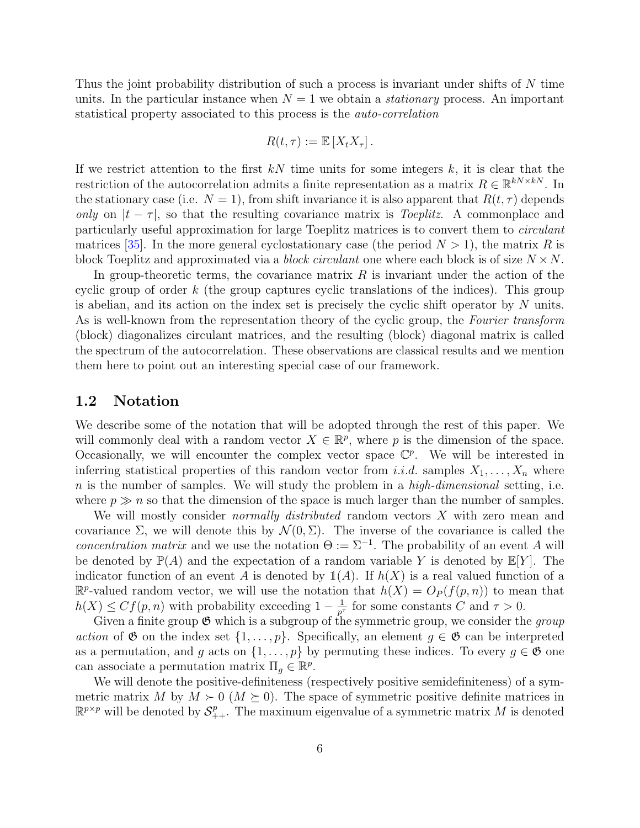Thus the joint probability distribution of such a process is invariant under shifts of N time units. In the particular instance when  $N = 1$  we obtain a *stationary* process. An important statistical property associated to this process is the auto-correlation

$$
R(t,\tau) := \mathbb{E}[X_t X_{\tau}].
$$

If we restrict attention to the first  $kN$  time units for some integers  $k$ , it is clear that the restriction of the autocorrelation admits a finite representation as a matrix  $R \in \mathbb{R}^{kN \times kN}$ . In the stationary case (i.e.  $N = 1$ ), from shift invariance it is also apparent that  $R(t, \tau)$  depends only on  $|t-\tau|$ , so that the resulting covariance matrix is *Toeplitz*. A commonplace and particularly useful approximation for large Toeplitz matrices is to convert them to circulant matrices [\[35\]](#page-30-14). In the more general cyclostationary case (the period  $N > 1$ ), the matrix R is block Toeplitz and approximated via a *block circulant* one where each block is of size  $N \times N$ .

In group-theoretic terms, the covariance matrix  $R$  is invariant under the action of the cyclic group of order  $k$  (the group captures cyclic translations of the indices). This group is abelian, and its action on the index set is precisely the cyclic shift operator by  $N$  units. As is well-known from the representation theory of the cyclic group, the Fourier transform (block) diagonalizes circulant matrices, and the resulting (block) diagonal matrix is called the spectrum of the autocorrelation. These observations are classical results and we mention them here to point out an interesting special case of our framework.

#### 1.2 Notation

We describe some of the notation that will be adopted through the rest of this paper. We will commonly deal with a random vector  $X \in \mathbb{R}^p$ , where p is the dimension of the space. Occasionally, we will encounter the complex vector space  $\mathbb{C}^p$ . We will be interested in inferring statistical properties of this random vector from i.i.d. samples  $X_1, \ldots, X_n$  where  $n$  is the number of samples. We will study the problem in a *high-dimensional* setting, i.e. where  $p \gg n$  so that the dimension of the space is much larger than the number of samples.

We will mostly consider *normally distributed* random vectors  $X$  with zero mean and covariance  $\Sigma$ , we will denote this by  $\mathcal{N}(0, \Sigma)$ . The inverse of the covariance is called the concentration matrix and we use the notation  $\Theta := \Sigma^{-1}$ . The probability of an event A will be denoted by  $\mathbb{P}(A)$  and the expectation of a random variable Y is denoted by  $\mathbb{E}[Y]$ . The indicator function of an event A is denoted by  $\mathbb{1}(A)$ . If  $h(X)$  is a real valued function of a  $\mathbb{R}^p$ -valued random vector, we will use the notation that  $h(X) = O_P(f(p,n))$  to mean that  $h(X) \leq Cf(p, n)$  with probability exceeding  $1 - \frac{1}{p^n}$  $\frac{1}{p^{\tau}}$  for some constants C and  $\tau > 0$ .

Given a finite group  $\mathfrak{G}$  which is a subgroup of the symmetric group, we consider the group action of  $\mathfrak G$  on the index set  $\{1,\ldots,p\}$ . Specifically, an element  $g\in\mathfrak G$  can be interpreted as a permutation, and g acts on  $\{1,\ldots,p\}$  by permuting these indices. To every  $g \in \mathfrak{G}$  one can associate a permutation matrix  $\Pi_g \in \mathbb{R}^p$ .

We will denote the positive-definiteness (respectively positive semidefiniteness) of a symmetric matrix M by  $M \succ 0$  ( $M \succeq 0$ ). The space of symmetric positive definite matrices in  $\mathbb{R}^{p \times p}$  will be denoted by  $\mathcal{S}_{++}^p$ . The maximum eigenvalue of a symmetric matrix M is denoted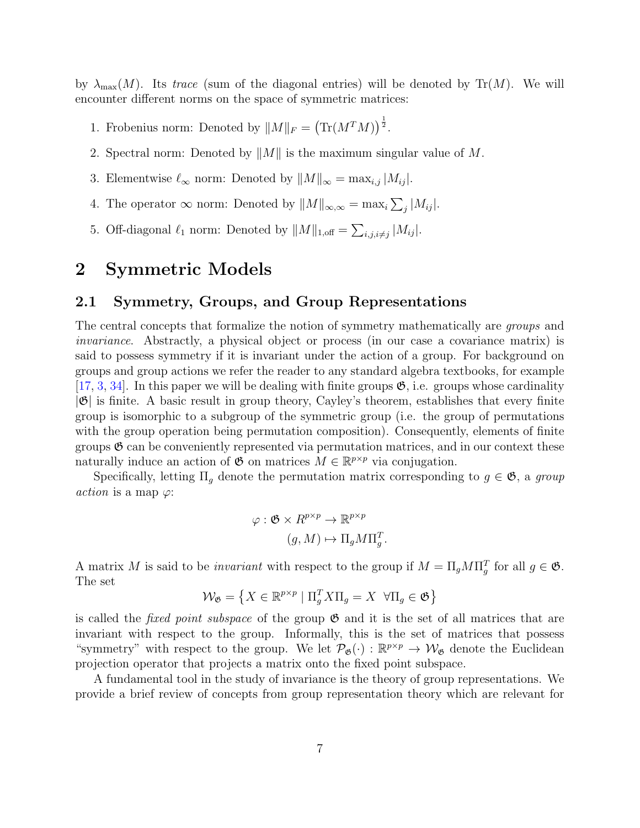by  $\lambda_{\max}(M)$ . Its trace (sum of the diagonal entries) will be denoted by Tr(M). We will encounter different norms on the space of symmetric matrices:

- 1. Frobenius norm: Denoted by  $||M||_F = (\text{Tr}(M^T M))^{\frac{1}{2}}$ .
- 2. Spectral norm: Denoted by  $||M||$  is the maximum singular value of M.
- 3. Elementwise  $\ell_{\infty}$  norm: Denoted by  $||M||_{\infty} = \max_{i,j} |M_{ij}|$ .
- 4. The operator  $\infty$  norm: Denoted by  $||M||_{\infty,\infty} = \max_i \sum_j |M_{ij}|$ .
- 5. Off-diagonal  $\ell_1$  norm: Denoted by  $||M||_{1,\text{off}} = \sum_{i,j,i\neq j} |M_{ij}|$ .

### <span id="page-6-0"></span>2 Symmetric Models

### 2.1 Symmetry, Groups, and Group Representations

The central concepts that formalize the notion of symmetry mathematically are groups and invariance. Abstractly, a physical object or process (in our case a covariance matrix) is said to possess symmetry if it is invariant under the action of a group. For background on groups and group actions we refer the reader to any standard algebra textbooks, for example  $[17, 3, 34]$  $[17, 3, 34]$  $[17, 3, 34]$  $[17, 3, 34]$  $[17, 3, 34]$ . In this paper we will be dealing with finite groups  $\mathfrak{G}$ , i.e. groups whose cardinality  $|\mathfrak{G}|$  is finite. A basic result in group theory, Cayley's theorem, establishes that every finite group is isomorphic to a subgroup of the symmetric group (i.e. the group of permutations with the group operation being permutation composition). Consequently, elements of finite groups  $\mathfrak{G}$  can be conveniently represented via permutation matrices, and in our context these naturally induce an action of  $\mathfrak{G}$  on matrices  $M \in \mathbb{R}^{p \times p}$  via conjugation.

Specifically, letting  $\Pi_q$  denote the permutation matrix corresponding to  $g \in \mathfrak{G}$ , a group *action* is a map  $\varphi$ :

$$
\varphi : \mathfrak{G} \times R^{p \times p} \to \mathbb{R}^{p \times p}
$$

$$
(g, M) \mapsto \Pi_g M \Pi_g^T.
$$

A matrix M is said to be *invariant* with respect to the group if  $M = \Pi_g M \Pi_g^T$  for all  $g \in \mathfrak{G}$ . The set

$$
\mathcal{W}_{\mathfrak{G}} = \left\{ X \in \mathbb{R}^{p \times p} \mid \Pi_{g}^{T} X \Pi_{g} = X \ \forall \Pi_{g} \in \mathfrak{G} \right\}
$$

is called the *fixed point subspace* of the group  $\mathfrak{G}$  and it is the set of all matrices that are invariant with respect to the group. Informally, this is the set of matrices that possess "symmetry" with respect to the group. We let  $\mathcal{P}_{\mathfrak{G}}(\cdot) : \mathbb{R}^{p \times p} \to \mathcal{W}_{\mathfrak{G}}$  denote the Euclidean projection operator that projects a matrix onto the fixed point subspace.

A fundamental tool in the study of invariance is the theory of group representations. We provide a brief review of concepts from group representation theory which are relevant for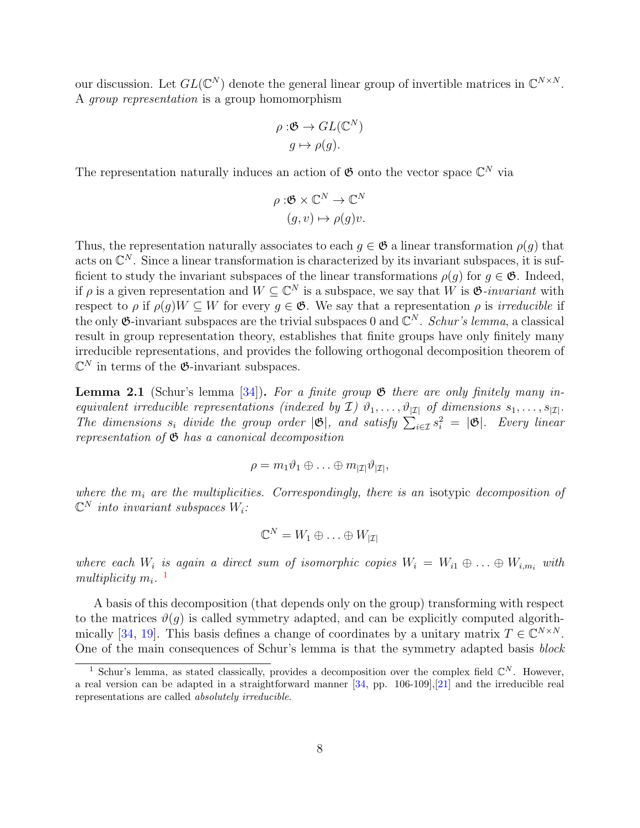our discussion. Let  $GL(\mathbb{C}^N)$  denote the general linear group of invertible matrices in  $\mathbb{C}^{N\times N}$ . A group representation is a group homomorphism

$$
\rho: \mathfrak{G} \to GL(\mathbb{C}^N)
$$

$$
g \mapsto \rho(g).
$$

The representation naturally induces an action of  $\mathfrak{G}$  onto the vector space  $\mathbb{C}^N$  via

$$
\rho : \mathfrak{G} \times \mathbb{C}^N \to \mathbb{C}^N
$$

$$
(g, v) \mapsto \rho(g)v.
$$

Thus, the representation naturally associates to each  $q \in \mathfrak{G}$  a linear transformation  $\rho(q)$  that acts on  $\mathbb{C}^N$ . Since a linear transformation is characterized by its invariant subspaces, it is sufficient to study the invariant subspaces of the linear transformations  $\rho(g)$  for  $g \in \mathfrak{G}$ . Indeed, if  $\rho$  is a given representation and  $W \subseteq \mathbb{C}^N$  is a subspace, we say that W is  $\mathfrak{G}$ -invariant with respect to  $\rho$  if  $\rho(q)W \subseteq W$  for every  $q \in \mathfrak{G}$ . We say that a representation  $\rho$  is *irreducible* if the only  $\mathfrak{G}$ -invariant subspaces are the trivial subspaces 0 and  $\mathbb{C}^N$ . Schur's lemma, a classical result in group representation theory, establishes that finite groups have only finitely many irreducible representations, and provides the following orthogonal decomposition theorem of  $\mathbb{C}^N$  in terms of the  $\mathfrak{G}$ -invariant subspaces.

<span id="page-7-1"></span>**Lemma 2.1** (Schur's lemma [\[34\]](#page-30-15)). For a finite group  $\mathfrak{G}$  there are only finitely many inequivalent irreducible representations (indexed by  $\mathcal{I}$ )  $\vartheta_1, \ldots, \vartheta_{|\mathcal{I}|}$  of dimensions  $s_1, \ldots, s_{|\mathcal{I}|}$ . The dimensions  $s_i$  divide the group order  $|\mathfrak{G}|$ , and satisfy  $\sum_{i\in\mathcal{I}} s_i^2 = |\mathfrak{G}|$ . Every linear representation of  $\mathfrak G$  has a canonical decomposition

$$
\rho = m_1 \vartheta_1 \oplus \ldots \oplus m_{|\mathcal{I}|} \vartheta_{|\mathcal{I}|},
$$

where the  $m_i$  are the multiplicities. Correspondingly, there is an isotypic decomposition of  $\mathbb{C}^N$  into invariant subspaces  $W_i$ :

$$
\mathbb{C}^N=W_1\oplus\ldots\oplus W_{|\mathcal{I}|}
$$

where each  $W_i$  is again a direct sum of isomorphic copies  $W_i = W_{i1} \oplus \ldots \oplus W_{i,m_i}$  with multiplicity  $m_i$ .<sup>[1](#page-7-0)</sup>

A basis of this decomposition (that depends only on the group) transforming with respect to the matrices  $\vartheta(g)$  is called symmetry adapted, and can be explicitly computed algorith-mically [\[34,](#page-30-15) [19\]](#page-29-3). This basis defines a change of coordinates by a unitary matrix  $T \in \mathbb{C}^{N \times N}$ . One of the main consequences of Schur's lemma is that the symmetry adapted basis block

<span id="page-7-0"></span><sup>&</sup>lt;sup>1</sup> Schur's lemma, as stated classically, provides a decomposition over the complex field  $\mathbb{C}^N$ . However, a real version can be adapted in a straightforward manner [\[34,](#page-30-15) pp. 106-109],[\[21\]](#page-29-5) and the irreducible real representations are called absolutely irreducible.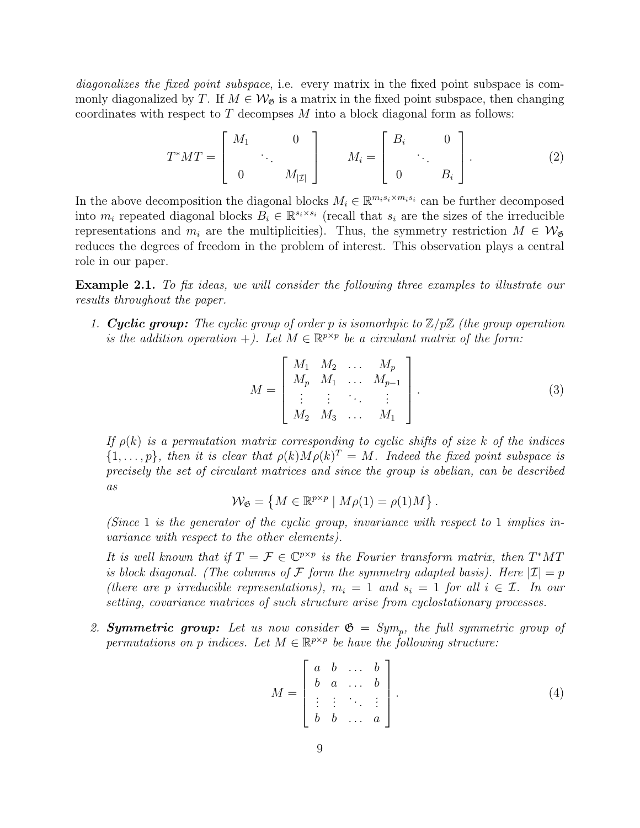diagonalizes the fixed point subspace, i.e. every matrix in the fixed point subspace is commonly diagonalized by T. If  $M \in \mathcal{W}_{\mathfrak{G}}$  is a matrix in the fixed point subspace, then changing coordinates with respect to  $T$  decompses  $M$  into a block diagonal form as follows:

$$
T^*MT = \begin{bmatrix} M_1 & 0 \\ & \ddots & \\ 0 & M_{|\mathcal{I}|} \end{bmatrix} \qquad M_i = \begin{bmatrix} B_i & 0 \\ & \ddots & \\ 0 & B_i \end{bmatrix} . \tag{2}
$$

In the above decomposition the diagonal blocks  $M_i \in \mathbb{R}^{m_i s_i \times m_i s_i}$  can be further decomposed into  $m_i$  repeated diagonal blocks  $B_i \in \mathbb{R}^{s_i \times s_i}$  (recall that  $s_i$  are the sizes of the irreducible representations and  $m_i$  are the multiplicities). Thus, the symmetry restriction  $M \in \mathcal{W}_{\mathfrak{G}}$ reduces the degrees of freedom in the problem of interest. This observation plays a central role in our paper.

<span id="page-8-3"></span>Example 2.1. To fix ideas, we will consider the following three examples to illustrate our results throughout the paper.

1. **Cyclic group:** The cyclic group of order p is isomorhpic to  $\mathbb{Z}/p\mathbb{Z}$  (the group operation is the addition operation +). Let  $M \in \mathbb{R}^{p \times p}$  be a circulant matrix of the form:

<span id="page-8-2"></span><span id="page-8-1"></span>
$$
M = \begin{bmatrix} M_1 & M_2 & \dots & M_p \\ M_p & M_1 & \dots & M_{p-1} \\ \vdots & \vdots & \ddots & \vdots \\ M_2 & M_3 & \dots & M_1 \end{bmatrix} .
$$
 (3)

If  $\rho(k)$  is a permutation matrix corresponding to cyclic shifts of size k of the indices  $\{1,\ldots,p\}$ , then it is clear that  $\rho(k)M\rho(k)^{T}=M$ . Indeed the fixed point subspace is precisely the set of circulant matrices and since the group is abelian, can be described as

$$
\mathcal{W}_{\mathfrak{G}} = \left\{ M \in \mathbb{R}^{p \times p} \mid M \rho(1) = \rho(1) M \right\}.
$$

(Since 1 is the generator of the cyclic group, invariance with respect to 1 implies invariance with respect to the other elements).

It is well known that if  $T = \mathcal{F} \in \mathbb{C}^{p \times p}$  is the Fourier transform matrix, then  $T^*MT$ is block diagonal. (The columns of F form the symmetry adapted basis). Here  $|\mathcal{I}| = p$ (there are p irreducible representations),  $m_i = 1$  and  $s_i = 1$  for all  $i \in \mathcal{I}$ . In our setting, covariance matrices of such structure arise from cyclostationary processes.

2. **Symmetric group:** Let us now consider  $\mathfrak{G} = Sym_p$ , the full symmetric group of permutations on p indices. Let  $M \in \mathbb{R}^{p \times p}$  be have the following structure:

<span id="page-8-0"></span>
$$
M = \begin{bmatrix} a & b & \dots & b \\ b & a & \dots & b \\ \vdots & \vdots & \ddots & \vdots \\ b & b & \dots & a \end{bmatrix} . \tag{4}
$$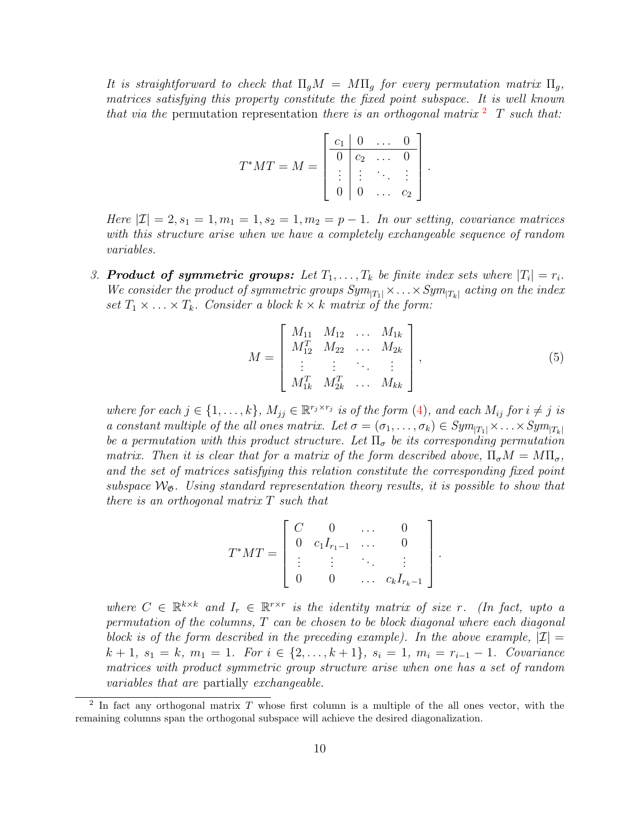It is straightforward to check that  $\Pi_{g}M = M\Pi_{g}$  for every permutation matrix  $\Pi_{g}$ , matrices satisfying this property constitute the fixed point subspace. It is well known that via the permutation representation there is an orthogonal matrix  $\overline{a}$  T such that:

$$
T^*MT = M = \begin{bmatrix} \begin{array}{c|c} c_1 & 0 & \dots & 0 \\ \hline 0 & c_2 & \dots & 0 \\ \vdots & \vdots & \ddots & \vdots \\ 0 & 0 & \dots & c_2 \end{array} \end{bmatrix}
$$

Here  $|\mathcal{I}| = 2$ ,  $s_1 = 1$ ,  $m_1 = 1$ ,  $s_2 = 1$ ,  $m_2 = p - 1$ . In our setting, covariance matrices with this structure arise when we have a completely exchangeable sequence of random variables.

3. **Product of symmetric groups:** Let  $T_1, \ldots, T_k$  be finite index sets where  $|T_i| = r_i$ . We consider the product of symmetric groups  $Sym_{|T_1|} \times ... \times Sym_{|T_k|}$  acting on the index set  $T_1 \times \ldots \times T_k$ . Consider a block  $k \times k$  matrix of the form:

<span id="page-9-1"></span>
$$
M = \begin{bmatrix} M_{11} & M_{12} & \dots & M_{1k} \\ M_{12}^T & M_{22} & \dots & M_{2k} \\ \vdots & \vdots & \ddots & \vdots \\ M_{1k}^T & M_{2k}^T & \dots & M_{kk} \end{bmatrix},
$$
(5)

.

.

where for each  $j \in \{1, \ldots, k\}$ ,  $M_{jj} \in \mathbb{R}^{r_j \times r_j}$  is of the form [\(4\)](#page-8-0), and each  $M_{ij}$  for  $i \neq j$  is a constant multiple of the all ones matrix. Let  $\sigma = (\sigma_1, \ldots, \sigma_k) \in Sym_{|T_1|} \times \ldots \times Sym_{|T_k|}$ be a permutation with this product structure. Let  $\Pi_{\sigma}$  be its corresponding permutation matrix. Then it is clear that for a matrix of the form described above,  $\Pi_{\sigma}M = M\Pi_{\sigma}$ , and the set of matrices satisfying this relation constitute the corresponding fixed point subspace  $\mathcal{W}_{\mathfrak{G}}$ . Using standard representation theory results, it is possible to show that there is an orthogonal matrix  $T$  such that

$$
T^*MT = \begin{bmatrix} C & 0 & \dots & 0 \\ 0 & c_1I_{r_1-1} & \dots & 0 \\ \vdots & \vdots & \ddots & \vdots \\ 0 & 0 & \dots & c_kI_{r_k-1} \end{bmatrix}
$$

where  $C \in \mathbb{R}^{k \times k}$  and  $I_r \in \mathbb{R}^{r \times r}$  is the identity matrix of size r. (In fact, upto a permutation of the columns, T can be chosen to be block diagonal where each diagonal block is of the form described in the preceding example). In the above example,  $|\mathcal{I}| =$  $k + 1$ ,  $s_1 = k$ ,  $m_1 = 1$ . For  $i \in \{2, ..., k + 1\}$ ,  $s_i = 1$ ,  $m_i = r_{i-1} - 1$ . Covariance matrices with product symmetric group structure arise when one has a set of random variables that are partially exchangeable.

<span id="page-9-0"></span><sup>&</sup>lt;sup>2</sup> In fact any orthogonal matrix T whose first column is a multiple of the all ones vector, with the remaining columns span the orthogonal subspace will achieve the desired diagonalization.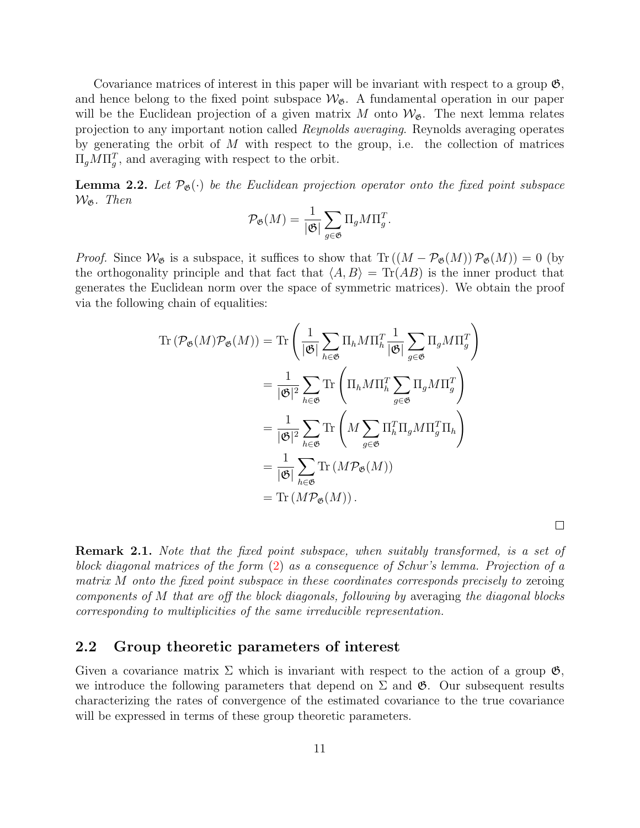Covariance matrices of interest in this paper will be invariant with respect to a group  $\mathfrak{G}$ , and hence belong to the fixed point subspace  $\mathcal{W}_{\mathfrak{G}}$ . A fundamental operation in our paper will be the Euclidean projection of a given matrix M onto  $\mathcal{W}_{\mathfrak{G}}$ . The next lemma relates projection to any important notion called Reynolds averaging. Reynolds averaging operates by generating the orbit of  $M$  with respect to the group, i.e. the collection of matrices  $\Pi_g M \Pi_g^T$ , and averaging with respect to the orbit.

<span id="page-10-0"></span>**Lemma 2.2.** Let  $\mathcal{P}_{\mathfrak{G}}(\cdot)$  be the Euclidean projection operator onto the fixed point subspace  $W_{\mathfrak{G}}$ . Then

$$
\mathcal{P}_{\mathfrak{G}}(M) = \frac{1}{|\mathfrak{G}|} \sum_{g \in \mathfrak{G}} \Pi_g M \Pi_g^T.
$$

*Proof.* Since  $W_{\mathfrak{G}}$  is a subspace, it suffices to show that  $\text{Tr}((M - \mathcal{P}_{\mathfrak{G}}(M))\mathcal{P}_{\mathfrak{G}}(M)) = 0$  (by the orthogonality principle and that fact that  $\langle A, B \rangle = \text{Tr}(AB)$  is the inner product that generates the Euclidean norm over the space of symmetric matrices). We obtain the proof via the following chain of equalities:

$$
\operatorname{Tr}\left(\mathcal{P}_{\mathfrak{G}}(M)\mathcal{P}_{\mathfrak{G}}(M)\right) = \operatorname{Tr}\left(\frac{1}{|\mathfrak{G}|}\sum_{h\in\mathfrak{G}}\Pi_{h}M\Pi_{h}^{T}\frac{1}{|\mathfrak{G}|}\sum_{g\in\mathfrak{G}}\Pi_{g}M\Pi_{g}^{T}\right)
$$

$$
= \frac{1}{|\mathfrak{G}|^{2}}\sum_{h\in\mathfrak{G}}\operatorname{Tr}\left(\Pi_{h}M\Pi_{h}^{T}\sum_{g\in\mathfrak{G}}\Pi_{g}M\Pi_{g}^{T}\right)
$$

$$
= \frac{1}{|\mathfrak{G}|^{2}}\sum_{h\in\mathfrak{G}}\operatorname{Tr}\left(M\sum_{g\in\mathfrak{G}}\Pi_{h}^{T}\Pi_{g}M\Pi_{g}^{T}\Pi_{h}\right)
$$

$$
= \frac{1}{|\mathfrak{G}|}\sum_{h\in\mathfrak{G}}\operatorname{Tr}\left(M\mathcal{P}_{\mathfrak{G}}(M)\right)
$$

$$
= \operatorname{Tr}\left(M\mathcal{P}_{\mathfrak{G}}(M)\right).
$$

 $\Box$ 

<span id="page-10-1"></span>Remark 2.1. Note that the fixed point subspace, when suitably transformed, is a set of block diagonal matrices of the form [\(2\)](#page-8-1) as a consequence of Schur's lemma. Projection of a matrix M onto the fixed point subspace in these coordinates corresponds precisely to zeroing components of M that are off the block diagonals, following by averaging the diagonal blocks corresponding to multiplicities of the same irreducible representation.

### <span id="page-10-2"></span>2.2 Group theoretic parameters of interest

Given a covariance matrix  $\Sigma$  which is invariant with respect to the action of a group  $\mathfrak{G}$ , we introduce the following parameters that depend on  $\Sigma$  and  $\mathfrak{G}$ . Our subsequent results characterizing the rates of convergence of the estimated covariance to the true covariance will be expressed in terms of these group theoretic parameters.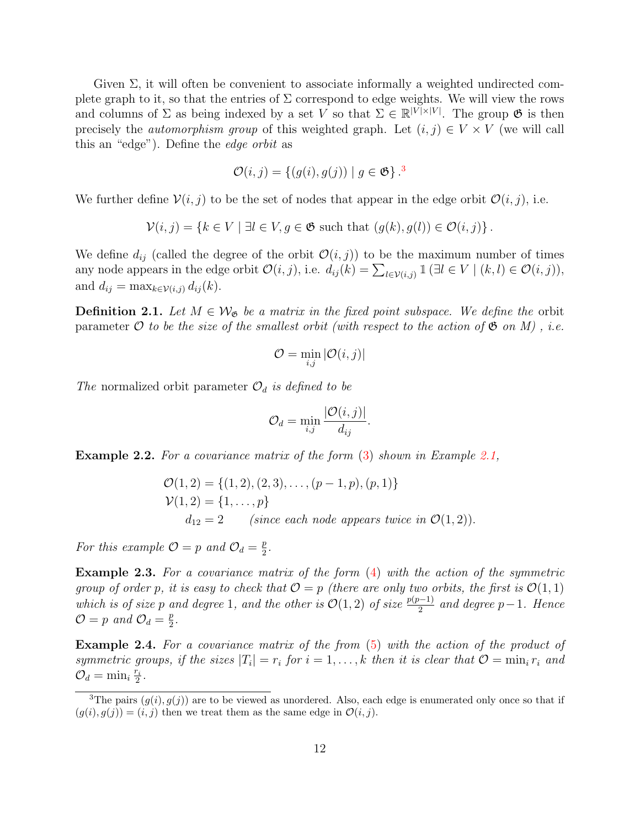Given  $\Sigma$ , it will often be convenient to associate informally a weighted undirected complete graph to it, so that the entries of  $\Sigma$  correspond to edge weights. We will view the rows and columns of  $\Sigma$  as being indexed by a set V so that  $\Sigma \in \mathbb{R}^{|V| \times |V|}$ . The group  $\mathfrak{G}$  is then precisely the *automorphism group* of this weighted graph. Let  $(i, j) \in V \times V$  (we will call this an "edge"). Define the edge orbit as

$$
\mathcal{O}(i,j) = \{(g(i), g(j)) \mid g \in \mathfrak{G}\}^{3}
$$

We further define  $V(i, j)$  to be the set of nodes that appear in the edge orbit  $\mathcal{O}(i, j)$ , i.e.

$$
\mathcal{V}(i,j) = \{ k \in V \mid \exists l \in V, g \in \mathfrak{G} \text{ such that } (g(k), g(l)) \in \mathcal{O}(i,j) \}.
$$

We define  $d_{ij}$  (called the degree of the orbit  $\mathcal{O}(i, j)$ ) to be the maximum number of times any node appears in the edge orbit  $\mathcal{O}(i, j)$ , i.e.  $d_{ij}(k) = \sum_{l \in \mathcal{V}(i,j)} \mathbb{1}(\exists l \in V \mid (k, l) \in \mathcal{O}(i, j)),$ and  $d_{ij} = \max_{k \in \mathcal{V}(i,j)} d_{ij}(k)$ .

**Definition 2.1.** Let  $M \in \mathcal{W}_{\mathfrak{G}}$  be a matrix in the fixed point subspace. We define the orbit parameter O to be the size of the smallest orbit (with respect to the action of  $\mathfrak{G}$  on M), i.e.

$$
\mathcal{O} = \min_{i,j} |\mathcal{O}(i,j)|
$$

The normalized orbit parameter  $\mathcal{O}_d$  is defined to be

$$
\mathcal{O}_d = \min_{i,j} \frac{|\mathcal{O}(i,j)|}{d_{ij}}.
$$

Example 2.2. For a covariance matrix of the form [\(3\)](#page-8-2) shown in Example [2.1,](#page-8-3)

$$
\mathcal{O}(1,2) = \{(1,2), (2,3), \dots, (p-1,p), (p,1)\}\
$$
  
 
$$
\mathcal{V}(1,2) = \{1, \dots, p\}
$$
  
 
$$
d_{12} = 2
$$
 (since each node appears twice in  $\mathcal{O}(1,2)$ ).

For this example  $\mathcal{O} = p$  and  $\mathcal{O}_d = \frac{p}{2}$  $\frac{p}{2}$ .

Example 2.3. For a covariance matrix of the form [\(4\)](#page-8-0) with the action of the symmetric group of order p, it is easy to check that  $\mathcal{O} = p$  (there are only two orbits, the first is  $\mathcal{O}(1,1)$ ) which is of size p and degree 1, and the other is  $\mathcal{O}(1, 2)$  of size  $\frac{p(p-1)}{2}$  and degree p-1. Hence  $\mathcal{O}=p$  and  $\mathcal{O}_d=\frac{p}{2}$  $\frac{p}{2}$ .

Example 2.4. For a covariance matrix of the from [\(5\)](#page-9-1) with the action of the product of symmetric groups, if the sizes  $|T_i| = r_i$  for  $i = 1, ..., k$  then it is clear that  $\mathcal{O} = \min_i r_i$  and  $\mathcal{O}_d = \min_i \frac{r_i}{2}$  $\frac{r_i}{2}$  .

<span id="page-11-0"></span><sup>&</sup>lt;sup>3</sup>The pairs  $(g(i), g(j))$  are to be viewed as unordered. Also, each edge is enumerated only once so that if  $(g(i), g(j)) = (i, j)$  then we treat them as the same edge in  $\mathcal{O}(i, j)$ .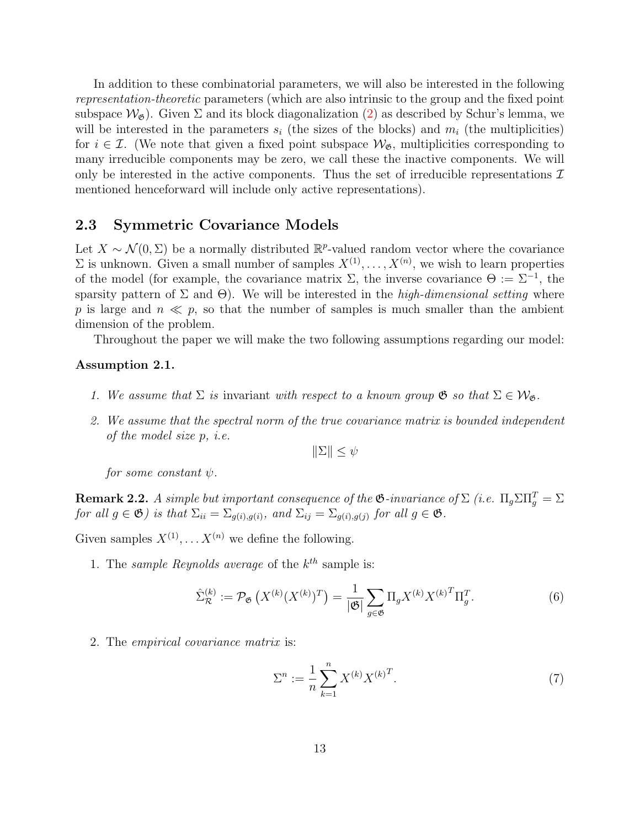In addition to these combinatorial parameters, we will also be interested in the following representation-theoretic parameters (which are also intrinsic to the group and the fixed point subspace  $\mathcal{W}_{\mathcal{B}}$ ). Given  $\Sigma$  and its block diagonalization [\(2\)](#page-8-1) as described by Schur's lemma, we will be interested in the parameters  $s_i$  (the sizes of the blocks) and  $m_i$  (the multiplicities) for  $i \in \mathcal{I}$ . (We note that given a fixed point subspace  $\mathcal{W}_{\mathfrak{G}}$ , multiplicities corresponding to many irreducible components may be zero, we call these the inactive components. We will only be interested in the active components. Thus the set of irreducible representations  $\mathcal I$ mentioned henceforward will include only active representations).

### 2.3 Symmetric Covariance Models

Let  $X \sim \mathcal{N}(0, \Sigma)$  be a normally distributed  $\mathbb{R}^p$ -valued random vector where the covariance  $\Sigma$  is unknown. Given a small number of samples  $X^{(1)}, \ldots, X^{(n)}$ , we wish to learn properties of the model (for example, the covariance matrix  $\Sigma$ , the inverse covariance  $\Theta := \Sigma^{-1}$ , the sparsity pattern of  $\Sigma$  and  $\Theta$ ). We will be interested in the *high-dimensional setting* where p is large and  $n \ll p$ , so that the number of samples is much smaller than the ambient dimension of the problem.

Throughout the paper we will make the two following assumptions regarding our model:

#### <span id="page-12-0"></span>Assumption 2.1.

- 1. We assume that  $\Sigma$  is invariant with respect to a known group  $\mathfrak{G}$  so that  $\Sigma \in \mathcal{W}_{\mathfrak{G}}$ .
- 2. We assume that the spectral norm of the true covariance matrix is bounded independent of the model size p, i.e.

 $\|\Sigma\| \leq \psi$ 

for some constant  $\psi$ .

**Remark 2.2.** A simple but important consequence of the  $\mathfrak{G}$ -invariance of  $\Sigma$  (i.e.  $\Pi_g \Sigma \Pi_g^T = \Sigma$ ) for all  $g \in \mathfrak{G}$ ) is that  $\Sigma_{ii} = \Sigma_{g(i),g(i)}$ , and  $\Sigma_{ij} = \Sigma_{g(i),g(j)}$  for all  $g \in \mathfrak{G}$ .

Given samples  $X^{(1)}, \ldots, X^{(n)}$  we define the following.

1. The sample Reynolds average of the  $k^{th}$  sample is:

$$
\hat{\Sigma}_{\mathcal{R}}^{(k)} := \mathcal{P}_{\mathfrak{G}}\left(X^{(k)}(X^{(k)})^T\right) = \frac{1}{|\mathfrak{G}|} \sum_{g \in \mathfrak{G}} \Pi_g X^{(k)} X^{(k)^T} \Pi_g^T. \tag{6}
$$

2. The empirical covariance matrix is:

$$
\Sigma^n := \frac{1}{n} \sum_{k=1}^n X^{(k)} X^{(k)T}.
$$
 (7)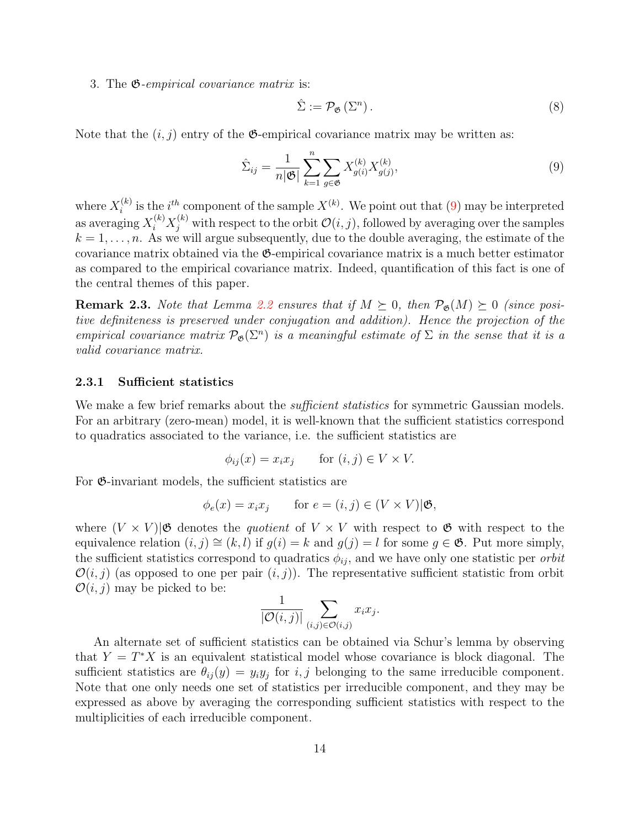3. The G-empirical covariance matrix is:

$$
\hat{\Sigma} := \mathcal{P}_{\mathfrak{G}}\left(\Sigma^n\right). \tag{8}
$$

Note that the  $(i, j)$  entry of the  $\mathfrak{G}$ -empirical covariance matrix may be written as:

<span id="page-13-0"></span>
$$
\hat{\Sigma}_{ij} = \frac{1}{n|\mathfrak{G}|} \sum_{k=1}^{n} \sum_{g \in \mathfrak{G}} X_{g(i)}^{(k)} X_{g(j)}^{(k)},
$$
\n(9)

where  $X_i^{(k)}$  $i^{(k)}$  is the  $i^{th}$  component of the sample  $X^{(k)}$ . We point out that [\(9\)](#page-13-0) may be interpreted as averaging  $X_i^{(k)} X_j^{(k)}$  with respect to the orbit  $\mathcal{O}(i, j)$ , followed by averaging over the samples  $k = 1, \ldots, n$ . As we will argue subsequently, due to the double averaging, the estimate of the covariance matrix obtained via the G-empirical covariance matrix is a much better estimator as compared to the empirical covariance matrix. Indeed, quantification of this fact is one of the central themes of this paper.

**Remark 2.3.** Note that Lemma [2.2](#page-10-0) ensures that if  $M \succeq 0$ , then  $\mathcal{P}_{\mathfrak{G}}(M) \succeq 0$  (since positive definiteness is preserved under conjugation and addition). Hence the projection of the empirical covariance matrix  $\mathcal{P}_{\mathfrak{G}}(\Sigma^n)$  is a meaningful estimate of  $\Sigma$  in the sense that it is a valid covariance matrix.

#### 2.3.1 Sufficient statistics

We make a few brief remarks about the *sufficient statistics* for symmetric Gaussian models. For an arbitrary (zero-mean) model, it is well-known that the sufficient statistics correspond to quadratics associated to the variance, i.e. the sufficient statistics are

$$
\phi_{ij}(x) = x_i x_j \quad \text{for } (i,j) \in V \times V.
$$

For G-invariant models, the sufficient statistics are

$$
\phi_e(x) = x_i x_j \qquad \text{for } e = (i, j) \in (V \times V) | \mathfrak{G},
$$

where  $(V \times V)|\mathfrak{G}$  denotes the *quotient* of  $V \times V$  with respect to  $\mathfrak{G}$  with respect to the equivalence relation  $(i, j) \cong (k, l)$  if  $g(i) = k$  and  $g(j) = l$  for some  $g \in \mathfrak{G}$ . Put more simply, the sufficient statistics correspond to quadratics  $\phi_{ij}$ , and we have only one statistic per *orbit*  $\mathcal{O}(i, j)$  (as opposed to one per pair  $(i, j)$ ). The representative sufficient statistic from orbit  $\mathcal{O}(i, j)$  may be picked to be:

$$
\frac{1}{|\mathcal{O}(i,j)|} \sum_{(i,j) \in \mathcal{O}(i,j)} x_i x_j.
$$

An alternate set of sufficient statistics can be obtained via Schur's lemma by observing that  $Y = T^*X$  is an equivalent statistical model whose covariance is block diagonal. The sufficient statistics are  $\theta_{ij}(y) = y_i y_j$  for i, j belonging to the same irreducible component. Note that one only needs one set of statistics per irreducible component, and they may be expressed as above by averaging the corresponding sufficient statistics with respect to the multiplicities of each irreducible component.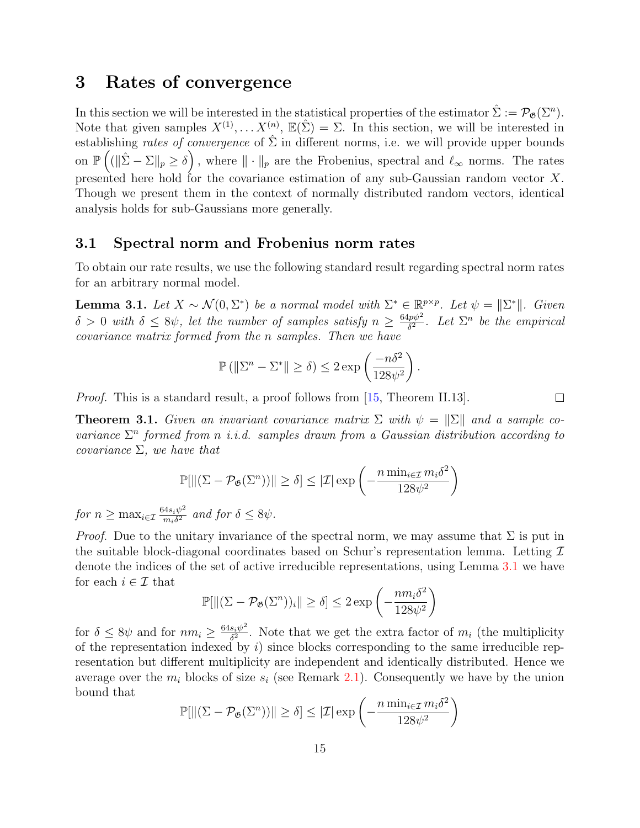## <span id="page-14-0"></span>3 Rates of convergence

In this section we will be interested in the statistical properties of the estimator  $\hat{\Sigma} := \mathcal{P}_{\mathfrak{G}}(\Sigma^n)$ . Note that given samples  $X^{(1)}, \ldots X^{(n)}$ ,  $\mathbb{E}(\hat{\Sigma}) = \Sigma$ . In this section, we will be interested in establishing rates of convergence of  $\hat{\Sigma}$  in different norms, i.e. we will provide upper bounds on  $\mathbb{P}\left((\|\hat{\Sigma} - \Sigma\|_p \ge \delta\right)$ , where  $\|\cdot\|_p$  are the Frobenius, spectral and  $\ell_{\infty}$  norms. The rates presented here hold for the covariance estimation of any sub-Gaussian random vector X. Though we present them in the context of normally distributed random vectors, identical analysis holds for sub-Gaussians more generally.

### 3.1 Spectral norm and Frobenius norm rates

To obtain our rate results, we use the following standard result regarding spectral norm rates for an arbitrary normal model.

<span id="page-14-1"></span>**Lemma 3.1.** Let  $X \sim \mathcal{N}(0, \Sigma^*)$  be a normal model with  $\Sigma^* \in \mathbb{R}^{p \times p}$ . Let  $\psi = ||\Sigma^*||$ . Given  $\delta > 0$  with  $\delta \leq 8\psi$ , let the number of samples satisfy  $n \geq \frac{64p\psi^2}{\delta^2}$  $\frac{p\psi^2}{\delta^2}$ . Let  $\Sigma^n$  be the empirical covariance matrix formed from the n samples. Then we have

$$
\mathbb{P}\left(\left\|\Sigma^n - \Sigma^*\right\| \ge \delta\right) \le 2\exp\left(\frac{-n\delta^2}{128\psi^2}\right).
$$

*Proof.* This is a standard result, a proof follows from [\[15,](#page-29-10) Theorem II.13].

<span id="page-14-2"></span>**Theorem 3.1.** Given an invariant covariance matrix  $\Sigma$  with  $\psi = \|\Sigma\|$  and a sample covariance  $\Sigma<sup>n</sup>$  formed from n i.i.d. samples drawn from a Gaussian distribution according to covariance  $\Sigma$ , we have that

$$
\mathbb{P}[\left\|(\Sigma - \mathcal{P}_{\mathfrak{G}}(\Sigma^n))\right\| \ge \delta] \le |\mathcal{I}| \exp\left(-\frac{n \min_{i \in \mathcal{I}} m_i \delta^2}{128\psi^2}\right)
$$

for  $n \geq \max_{i \in \mathcal{I}} \frac{64s_i\psi^2}{m_i\delta^2}$  $\frac{d^4s_i\psi^2}{m_i\delta^2}$  and for  $\delta \leq 8\psi$ .

*Proof.* Due to the unitary invariance of the spectral norm, we may assume that  $\Sigma$  is put in the suitable block-diagonal coordinates based on Schur's representation lemma. Letting  $\mathcal I$ denote the indices of the set of active irreducible representations, using Lemma [3.1](#page-14-1) we have for each  $i \in \mathcal{I}$  that

$$
\mathbb{P}[\|(\Sigma - \mathcal{P}_{\mathfrak{G}}(\Sigma^n))_i\| \ge \delta] \le 2 \exp\left(-\frac{nm_i\delta^2}{128\psi^2}\right)
$$

for  $\delta \leq 8\psi$  and for  $nm_i \geq \frac{64s_i\psi^2}{\delta^2}$  $\frac{s_i \psi^2}{\delta^2}$ . Note that we get the extra factor of  $m_i$  (the multiplicity of the representation indexed by  $i$ ) since blocks corresponding to the same irreducible representation but different multiplicity are independent and identically distributed. Hence we average over the  $m_i$  blocks of size  $s_i$  (see Remark [2.1\)](#page-10-1). Consequently we have by the union bound that

$$
\mathbb{P}[\left\|(\Sigma - \mathcal{P}_{\mathfrak{G}}(\Sigma^n))\right\| \ge \delta] \le |\mathcal{I}| \exp\left(-\frac{n \min_{i \in \mathcal{I}} m_i \delta^2}{128\psi^2}\right)
$$

 $\Box$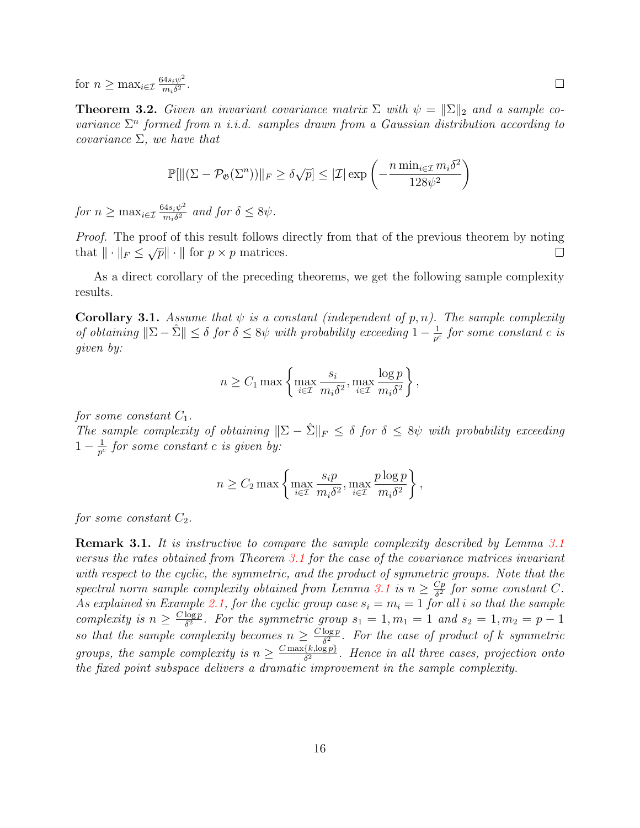for  $n \geq \max_{i \in \mathcal{I}} \frac{64s_i\psi^2}{m_i\delta^2}$  $\frac{4s_i\psi^2}{m_i\delta^2}$ .

**Theorem 3.2.** Given an invariant covariance matrix  $\Sigma$  with  $\psi = \|\Sigma\|_2$  and a sample covariance  $\Sigma<sup>n</sup>$  formed from n i.i.d. samples drawn from a Gaussian distribution according to covariance  $\Sigma$ , we have that

$$
\mathbb{P}[\|(\Sigma - \mathcal{P}_{\mathfrak{G}}(\Sigma^n))\|_F \ge \delta\sqrt{p}] \le |\mathcal{I}| \exp\left(-\frac{n \min_{i \in \mathcal{I}} m_i \delta^2}{128\psi^2}\right)
$$

for  $n \geq \max_{i \in \mathcal{I}} \frac{64s_i\psi^2}{m_i\delta^2}$  $\frac{d^4s_i\psi^2}{m_i\delta^2}$  and for  $\delta \leq 8\psi$ .

Proof. The proof of this result follows directly from that of the previous theorem by noting that  $\|\cdot\|_F \leq \sqrt{p}\|\cdot\|$  for  $p \times p$  matrices.  $\Box$ 

As a direct corollary of the preceding theorems, we get the following sample complexity results.

**Corollary 3.1.** Assume that  $\psi$  is a constant (independent of p, n). The sample complexity of obtaining  $\|\Sigma - \hat{\Sigma}\| \le \delta$  for  $\delta \le 8\psi$  with probability exceeding  $1 - \frac{1}{p^{\delta}}$  $\frac{1}{p^c}$  for some constant c is given by:

$$
n \ge C_1 \max \left\{ \max_{i \in \mathcal{I}} \frac{s_i}{m_i \delta^2}, \max_{i \in \mathcal{I}} \frac{\log p}{m_i \delta^2} \right\},\,
$$

for some constant  $C_1$ .

The sample complexity of obtaining  $\|\Sigma - \hat{\Sigma}\|_F \leq \delta$  for  $\delta \leq 8\psi$  with probability exceeding  $1 - \frac{1}{p^c}$  $\frac{1}{p^c}$  for some constant c is given by:

$$
n \ge C_2 \max \left\{ \max_{i \in \mathcal{I}} \frac{s_i p}{m_i \delta^2}, \max_{i \in \mathcal{I}} \frac{p \log p}{m_i \delta^2} \right\},\,
$$

for some constant  $C_2$ .

**Remark [3.1](#page-14-1).** It is instructive to compare the sample complexity described by Lemma 3.1 versus the rates obtained from Theorem [3.1](#page-14-2) for the case of the covariance matrices invariant with respect to the cyclic, the symmetric, and the product of symmetric groups. Note that the spectral norm sample complexity obtained from Lemma [3.1](#page-14-1) is  $n \geq \frac{Cp}{\delta^2}$  $\frac{Cp}{\delta^2}$  for some constant C. As explained in Example [2.1,](#page-8-3) for the cyclic group case  $s_i = m_i = 1$  for all i so that the sample *complexity is*  $n \geq \frac{C \log p}{\delta^2}$  $\frac{\log p}{\delta^2}$ . For the symmetric group  $s_1 = 1, m_1 = 1$  and  $s_2 = 1, m_2 = p - 1$ so that the sample complexity becomes  $n \geq \frac{C \log p}{\delta^2}$  $\frac{\log p}{\delta^2}$ . For the case of product of k symmetric groups, the sample complexity is  $n \geq \frac{C \max\{k, \log p\}}{\delta^2}$  $\frac{\{\kappa,\log p\}}{\delta^2}$ . Hence in all three cases, projection onto the fixed point subspace delivers a dramatic improvement in the sample complexity.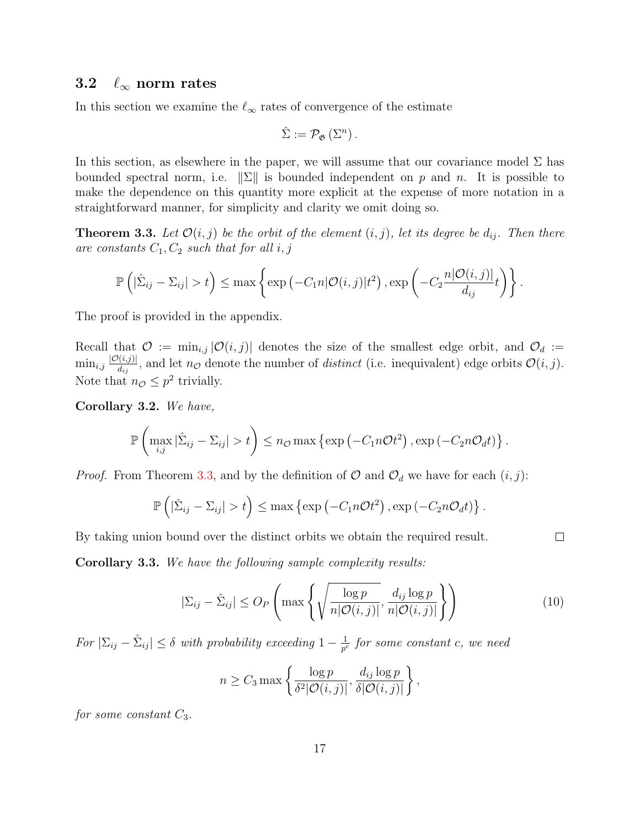### 3.2  $\ell_{\infty}$  norm rates

In this section we examine the  $\ell_{\infty}$  rates of convergence of the estimate

$$
\hat{\Sigma} := \mathcal{P}_{\mathfrak{G}}\left(\Sigma^{n}\right).
$$

In this section, as elsewhere in the paper, we will assume that our covariance model  $\Sigma$  has bounded spectral norm, i.e.  $\|\Sigma\|$  is bounded independent on p and n. It is possible to make the dependence on this quantity more explicit at the expense of more notation in a straightforward manner, for simplicity and clarity we omit doing so.

<span id="page-16-0"></span>**Theorem 3.3.** Let  $\mathcal{O}(i, j)$  be the orbit of the element  $(i, j)$ , let its degree be  $d_{ij}$ . Then there are constants  $C_1, C_2$  such that for all  $i, j$ 

$$
\mathbb{P}\left(|\hat{\Sigma}_{ij}-\Sigma_{ij}|>t\right)\leq \max\left\{\exp\left(-C_1n|\mathcal{O}(i,j)|t^2\right),\exp\left(-C_2\frac{n|\mathcal{O}(i,j)|}{d_{ij}}t\right)\right\}.
$$

The proof is provided in the appendix.

Recall that  $\mathcal{O} := \min_{i,j} |\mathcal{O}(i,j)|$  denotes the size of the smallest edge orbit, and  $\mathcal{O}_d :=$  $\min_{i,j} \frac{|\mathcal{O}(i,j)|}{d_{ij}}$  $\frac{\partial(u,j)}{\partial(i,j)}$ , and let  $n_{\mathcal{O}}$  denote the number of *distinct* (i.e. inequivalent) edge orbits  $\mathcal{O}(i,j)$ . Note that  $n_{\mathcal{O}} \leq p^2$  trivially.

<span id="page-16-1"></span>Corollary 3.2. We have,

$$
\mathbb{P}\left(\max_{i,j}|\hat{\Sigma}_{ij}-\Sigma_{ij}|>t\right)\leq n_{\mathcal{O}}\max\left\{\exp\left(-C_{1}n\mathcal{O}t^{2}\right),\exp\left(-C_{2}n\mathcal{O}_{d}t\right)\right\}.
$$

*Proof.* From Theorem [3.3,](#page-16-0) and by the definition of  $\mathcal{O}$  and  $\mathcal{O}_d$  we have for each  $(i, j)$ :

$$
\mathbb{P}\left(|\hat{\Sigma}_{ij}-\Sigma_{ij}|>t\right)\leq \max\left\{\exp\left(-C_1n\mathcal{O}t^2\right),\exp\left(-C_2n\mathcal{O}_d t\right)\right\}.
$$

By taking union bound over the distinct orbits we obtain the required result.

<span id="page-16-2"></span>Corollary 3.3. We have the following sample complexity results:

$$
|\Sigma_{ij} - \hat{\Sigma}_{ij}| \leq O_P\left(\max\left\{\sqrt{\frac{\log p}{n|\mathcal{O}(i,j)|}}, \frac{d_{ij}\log p}{n|\mathcal{O}(i,j)|}\right\}\right) \tag{10}
$$

For  $|\Sigma_{ij} - \hat{\Sigma}_{ij}| \leq \delta$  with probability exceeding  $1 - \frac{1}{p^{\epsilon}}$  $\frac{1}{p^c}$  for some constant c, we need

$$
n \geq C_3 \max \left\{ \frac{\log p}{\delta^2 |\mathcal{O}(i,j)|}, \frac{d_{ij} \log p}{\delta |\mathcal{O}(i,j)|} \right\},\,
$$

for some constant  $C_3$ .

 $\Box$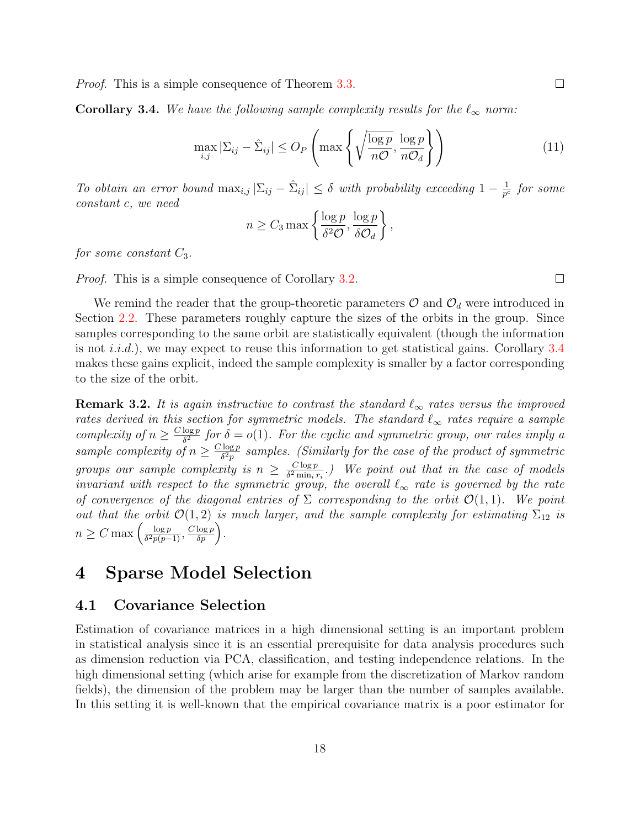*Proof.* This is a simple consequence of Theorem [3.3.](#page-16-0)

<span id="page-17-1"></span>**Corollary 3.4.** We have the following sample complexity results for the  $\ell_{\infty}$  norm:

$$
\max_{i,j} |\Sigma_{ij} - \hat{\Sigma}_{ij}| \leq O_P\left(\max\left\{\sqrt{\frac{\log p}{n\mathcal{O}}}, \frac{\log p}{n\mathcal{O}_d}\right\}\right)
$$
(11)

To obtain an error bound  $\max_{i,j} |\Sigma_{ij} - \hat{\Sigma}_{ij}| \leq \delta$  with probability exceeding  $1 - \frac{1}{p^{\delta}}$  $\frac{1}{p^c}$  for some constant c, we need

$$
n \ge C_3 \max \left\{ \frac{\log p}{\delta^2 \mathcal{O}}, \frac{\log p}{\delta \mathcal{O}_d} \right\},\,
$$

for some constant  $C_3$ .

Proof. This is a simple consequence of Corollary [3.2.](#page-16-1)

We remind the reader that the group-theoretic parameters  $\mathcal{O}$  and  $\mathcal{O}_d$  were introduced in Section [2.2.](#page-10-2) These parameters roughly capture the sizes of the orbits in the group. Since samples corresponding to the same orbit are statistically equivalent (though the information is not *i.i.d.*), we may expect to reuse this information to get statistical gains. Corollary  $3.4$ makes these gains explicit, indeed the sample complexity is smaller by a factor corresponding to the size of the orbit.

**Remark 3.2.** It is again instructive to contrast the standard  $\ell_{\infty}$  rates versus the improved rates derived in this section for symmetric models. The standard  $\ell_{\infty}$  rates require a sample complexity of  $n \geq \frac{C \log p}{\delta^2}$  $\frac{\log p}{\delta^2}$  for  $\delta = o(1)$ . For the cyclic and symmetric group, our rates imply a sample complexity of  $n \geq \frac{C \log p}{\delta^2 p}$  $\frac{\log p}{\delta^2 p}$  samples. (Similarly for the case of the product of symmetric groups our sample complexity is  $n \geq \frac{C \log p}{\delta^2 \min_i n}$  $\frac{C \log p}{\delta^2 \min_i r_i}$ .) We point out that in the case of models invariant with respect to the symmetric group, the overall  $\ell_{\infty}$  rate is governed by the rate of convergence of the diagonal entries of  $\Sigma$  corresponding to the orbit  $\mathcal{O}(1,1)$ . We point out that the orbit  $\mathcal{O}(1,2)$  is much larger, and the sample complexity for estimating  $\Sigma_{12}$  is  $n \geq C \max \left( \frac{\log p}{\delta^2 p (p-1)} \right)$  $\frac{\log p}{\delta^2 p(p-1)}, \frac{C \log p}{\delta p}$ .

## <span id="page-17-0"></span>4 Sparse Model Selection

### <span id="page-17-2"></span>4.1 Covariance Selection

Estimation of covariance matrices in a high dimensional setting is an important problem in statistical analysis since it is an essential prerequisite for data analysis procedures such as dimension reduction via PCA, classification, and testing independence relations. In the high dimensional setting (which arise for example from the discretization of Markov random fields), the dimension of the problem may be larger than the number of samples available. In this setting it is well-known that the empirical covariance matrix is a poor estimator for

 $\Box$ 

 $\Box$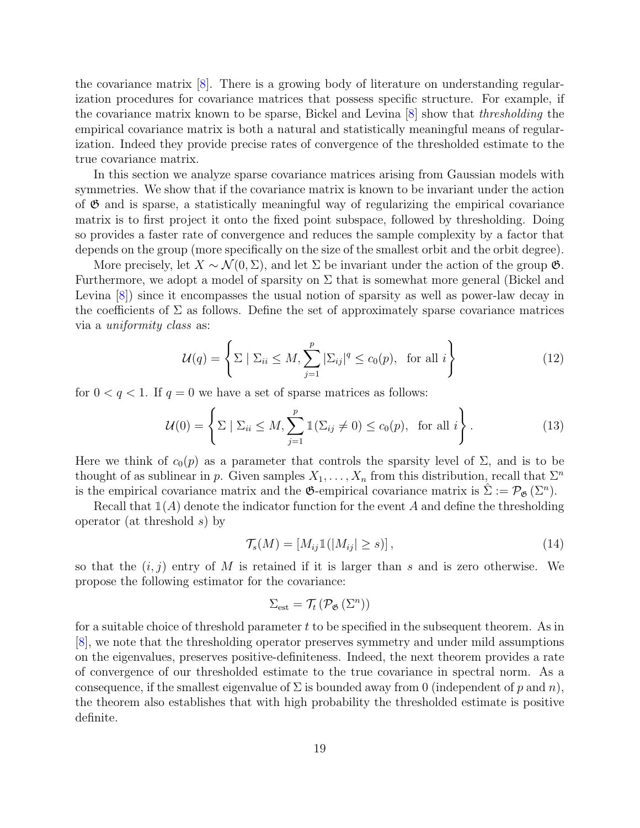the covariance matrix [\[8\]](#page-29-1). There is a growing body of literature on understanding regularization procedures for covariance matrices that possess specific structure. For example, if the covariance matrix known to be sparse, Bickel and Levina [\[8\]](#page-29-1) show that thresholding the empirical covariance matrix is both a natural and statistically meaningful means of regularization. Indeed they provide precise rates of convergence of the thresholded estimate to the true covariance matrix.

In this section we analyze sparse covariance matrices arising from Gaussian models with symmetries. We show that if the covariance matrix is known to be invariant under the action of  $\mathfrak{G}$  and is sparse, a statistically meaningful way of regularizing the empirical covariance matrix is to first project it onto the fixed point subspace, followed by thresholding. Doing so provides a faster rate of convergence and reduces the sample complexity by a factor that depends on the group (more specifically on the size of the smallest orbit and the orbit degree).

More precisely, let  $X \sim \mathcal{N}(0, \Sigma)$ , and let  $\Sigma$  be invariant under the action of the group  $\mathfrak{G}$ . Furthermore, we adopt a model of sparsity on  $\Sigma$  that is somewhat more general (Bickel and Levina [\[8\]](#page-29-1)) since it encompasses the usual notion of sparsity as well as power-law decay in the coefficients of  $\Sigma$  as follows. Define the set of approximately sparse covariance matrices via a uniformity class as:

$$
\mathcal{U}(q) = \left\{ \Sigma \mid \Sigma_{ii} \le M, \sum_{j=1}^{p} |\Sigma_{ij}|^q \le c_0(p), \text{ for all } i \right\}
$$
 (12)

for  $0 < q < 1$ . If  $q = 0$  we have a set of sparse matrices as follows:

$$
\mathcal{U}(0) = \left\{ \Sigma \mid \Sigma_{ii} \le M, \sum_{j=1}^{p} \mathbb{1}(\Sigma_{ij} \ne 0) \le c_0(p), \text{ for all } i \right\}.
$$
 (13)

Here we think of  $c_0(p)$  as a parameter that controls the sparsity level of  $\Sigma$ , and is to be thought of as sublinear in p. Given samples  $X_1, \ldots, X_n$  from this distribution, recall that  $\Sigma^n$ is the empirical covariance matrix and the  $\mathfrak{G}$ -empirical covariance matrix is  $\hat{\Sigma} := \mathcal{P}_{\mathfrak{G}}(\Sigma^n)$ .

Recall that  $\mathbb{1}(A)$  denote the indicator function for the event A and define the thresholding operator (at threshold s) by

$$
\mathcal{T}_s(M) = [M_{ij} \mathbb{1}(|M_{ij}| \ge s)],\tag{14}
$$

so that the  $(i, j)$  entry of M is retained if it is larger than s and is zero otherwise. We propose the following estimator for the covariance:

$$
\Sigma_{\rm est} = \mathcal{T}_t\left(\mathcal{P}_{\mathfrak{G}}\left(\Sigma^n\right)\right)
$$

for a suitable choice of threshold parameter  $t$  to be specified in the subsequent theorem. As in [\[8\]](#page-29-1), we note that the thresholding operator preserves symmetry and under mild assumptions on the eigenvalues, preserves positive-definiteness. Indeed, the next theorem provides a rate of convergence of our thresholded estimate to the true covariance in spectral norm. As a consequence, if the smallest eigenvalue of  $\Sigma$  is bounded away from 0 (independent of p and n), the theorem also establishes that with high probability the thresholded estimate is positive definite.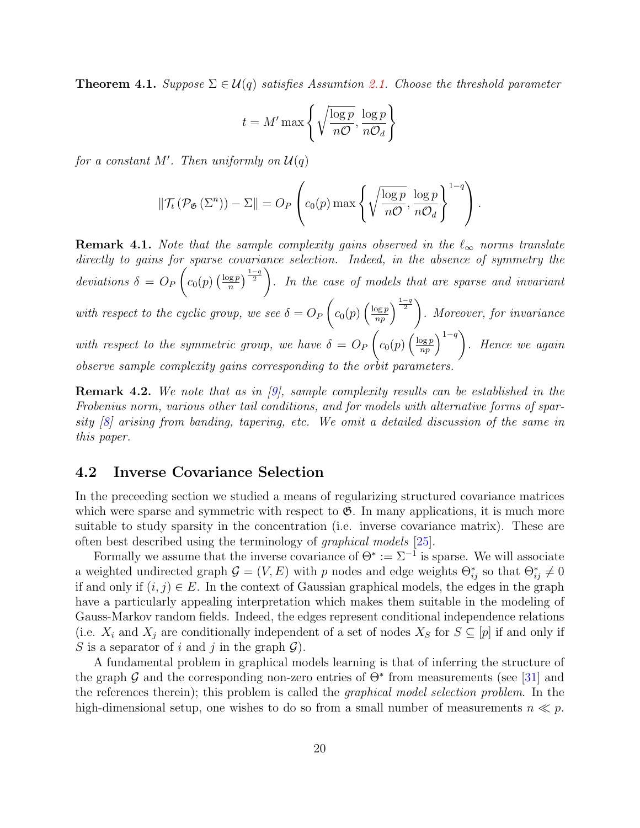<span id="page-19-1"></span>**Theorem 4.1.** Suppose  $\Sigma \in \mathcal{U}(q)$  satisfies Assumtion [2.1.](#page-12-0) Choose the threshold parameter

$$
t = M' \max\left\{ \sqrt{\frac{\log p}{n\mathcal{O}}}, \frac{\log p}{n\mathcal{O}_d} \right\}
$$

for a constant  $M'$ . Then uniformly on  $\mathcal{U}(q)$ 

$$
\|\mathcal{T}_t(\mathcal{P}_{\mathfrak{G}}(\Sigma^n)) - \Sigma\| = O_P\left(c_0(p)\max\left\{\sqrt{\frac{\log p}{n\mathcal{O}}}, \frac{\log p}{n\mathcal{O}_d}\right\}^{1-q}\right).
$$

**Remark 4.1.** Note that the sample complexity gains observed in the  $\ell_{\infty}$  norms translate directly to gains for sparse covariance selection. Indeed, in the absence of symmetry the deviations  $\delta = O_P$  $\sqrt{ }$  $c_0(p) \left(\frac{\log p}{n}\right)$  $\left(\frac{\log p}{n}\right)^{\frac{1-q}{2}}$ . In the case of models that are sparse and invariant with respect to the cyclic group, we see  $\delta = O_F$  $\sqrt{ }$  $c_0(p)\left(\frac{\log p}{np}\right)^{\frac{1-q}{2}}$ . Moreover, for invariance with respect to the symmetric group, we have  $\delta = O_P$  $\sqrt{ }$  $c_0(p) \left(\frac{\log p}{np}\right)^{1-q}$ . Hence we again observe sample complexity gains corresponding to the orbit parameters.

Remark 4.2. We note that as in [\[9\]](#page-29-0), sample complexity results can be established in the Frobenius norm, various other tail conditions, and for models with alternative forms of sparsity [\[8\]](#page-29-1) arising from banding, tapering, etc. We omit a detailed discussion of the same in this paper.

### <span id="page-19-0"></span>4.2 Inverse Covariance Selection

In the preceeding section we studied a means of regularizing structured covariance matrices which were sparse and symmetric with respect to  $\mathfrak{G}$ . In many applications, it is much more suitable to study sparsity in the concentration (i.e. inverse covariance matrix). These are often best described using the terminology of graphical models [\[25\]](#page-30-0).

Formally we assume that the inverse covariance of  $\Theta^* := \Sigma^{-1}$  is sparse. We will associate a weighted undirected graph  $G = (V, E)$  with p nodes and edge weights  $\Theta_{ij}^*$  so that  $\Theta_{ij}^* \neq 0$ if and only if  $(i, j) \in E$ . In the context of Gaussian graphical models, the edges in the graph have a particularly appealing interpretation which makes them suitable in the modeling of Gauss-Markov random fields. Indeed, the edges represent conditional independence relations (i.e.  $X_i$  and  $X_j$  are conditionally independent of a set of nodes  $X_S$  for  $S \subseteq [p]$  if and only if S is a separator of i and j in the graph  $\mathcal{G}$ ).

A fundamental problem in graphical models learning is that of inferring the structure of the graph  $\mathcal G$  and the corresponding non-zero entries of  $\Theta^*$  from measurements (see [\[31\]](#page-30-1) and the references therein); this problem is called the graphical model selection problem. In the high-dimensional setup, one wishes to do so from a small number of measurements  $n \ll p$ .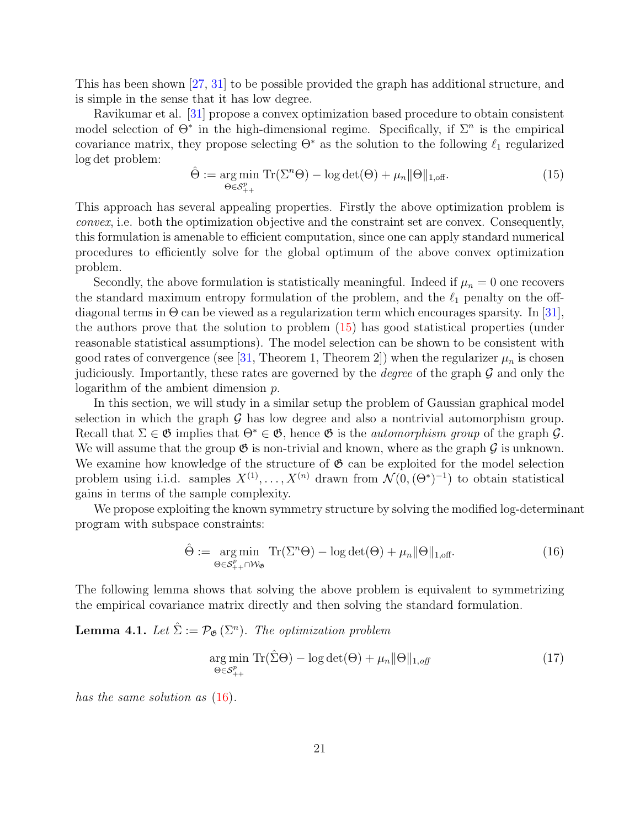This has been shown [\[27,](#page-30-2) [31\]](#page-30-1) to be possible provided the graph has additional structure, and is simple in the sense that it has low degree.

Ravikumar et al. [\[31\]](#page-30-1) propose a convex optimization based procedure to obtain consistent model selection of  $\Theta^*$  in the high-dimensional regime. Specifically, if  $\Sigma^n$  is the empirical covariance matrix, they propose selecting  $\Theta^*$  as the solution to the following  $\ell_1$  regularized log det problem:

<span id="page-20-0"></span>
$$
\hat{\Theta} := \underset{\Theta \in \mathcal{S}_{++}^p}{\arg \min} \operatorname{Tr}(\Sigma^n \Theta) - \log \det(\Theta) + \mu_n \|\Theta\|_{1,\text{off}}.\tag{15}
$$

This approach has several appealing properties. Firstly the above optimization problem is convex, i.e. both the optimization objective and the constraint set are convex. Consequently, this formulation is amenable to efficient computation, since one can apply standard numerical procedures to efficiently solve for the global optimum of the above convex optimization problem.

Secondly, the above formulation is statistically meaningful. Indeed if  $\mu_n = 0$  one recovers the standard maximum entropy formulation of the problem, and the  $\ell_1$  penalty on the offdiagonal terms in  $\Theta$  can be viewed as a regularization term which encourages sparsity. In [\[31\]](#page-30-1), the authors prove that the solution to problem [\(15\)](#page-20-0) has good statistical properties (under reasonable statistical assumptions). The model selection can be shown to be consistent with good rates of convergence (see [\[31,](#page-30-1) Theorem 1, Theorem 2]) when the regularizer  $\mu_n$  is chosen judiciously. Importantly, these rates are governed by the *degree* of the graph  $\mathcal G$  and only the logarithm of the ambient dimension p.

In this section, we will study in a similar setup the problem of Gaussian graphical model selection in which the graph  $G$  has low degree and also a nontrivial automorphism group. Recall that  $\Sigma \in \mathfrak{G}$  implies that  $\Theta^* \in \mathfrak{G}$ , hence  $\mathfrak{G}$  is the *automorphism group* of the graph  $\mathcal{G}$ . We will assume that the group  $\mathfrak{G}$  is non-trivial and known, where as the graph  $\mathcal G$  is unknown. We examine how knowledge of the structure of  $\mathfrak G$  can be exploited for the model selection problem using i.i.d. samples  $X^{(1)}, \ldots, X^{(n)}$  drawn from  $\mathcal{N}(0, (\Theta^*)^{-1})$  to obtain statistical gains in terms of the sample complexity.

We propose exploiting the known symmetry structure by solving the modified log-determinant program with subspace constraints:

<span id="page-20-1"></span>
$$
\hat{\Theta} := \underset{\Theta \in \mathcal{S}_{++}^p \cap \mathcal{W}_{\mathfrak{G}}}{\text{arg min}} \operatorname{Tr}(\Sigma^n \Theta) - \log \det(\Theta) + \mu_n \|\Theta\|_{1, \text{off}}.
$$
\n(16)

The following lemma shows that solving the above problem is equivalent to symmetrizing the empirical covariance matrix directly and then solving the standard formulation.

**Lemma 4.1.** Let  $\hat{\Sigma} := \mathcal{P}_{\mathfrak{G}}(\Sigma^n)$ . The optimization problem

<span id="page-20-2"></span>
$$
\underset{\Theta \in \mathcal{S}_{++}^p}{\arg \min} \operatorname{Tr}(\hat{\Sigma}\Theta) - \log \det(\Theta) + \mu_n \|\Theta\|_{1, \text{off}} \tag{17}
$$

has the same solution as  $(16)$ .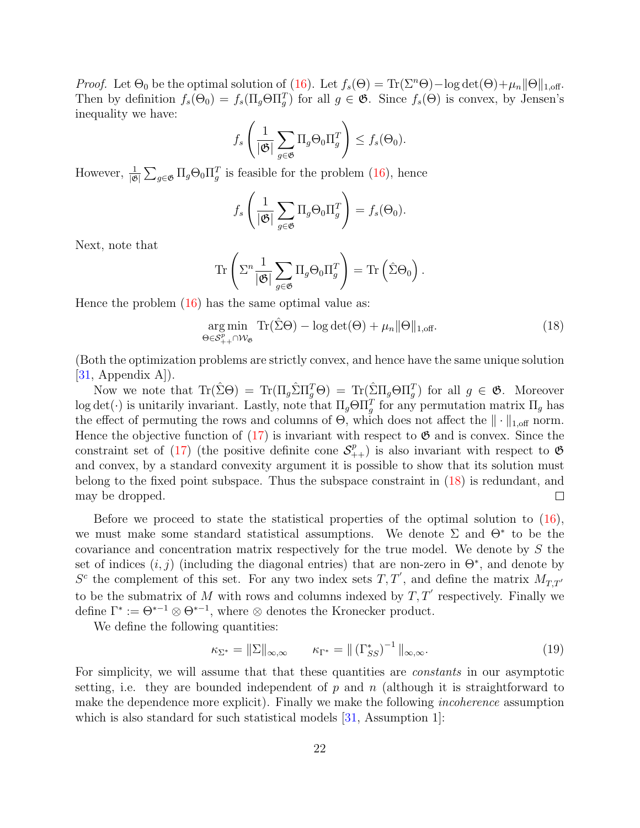*Proof.* Let  $\Theta_0$  be the optimal solution of [\(16\)](#page-20-1). Let  $f_s(\Theta) = \text{Tr}(\Sigma^n \Theta) - \log \det(\Theta) + \mu_n ||\Theta||_{1,\text{off}}$ . Then by definition  $f_s(\Theta_0) = f_s(\Pi_g \Theta \Pi_g^T)$  for all  $g \in \mathfrak{G}$ . Since  $f_s(\Theta)$  is convex, by Jensen's inequality we have:

$$
f_s\left(\frac{1}{|\mathfrak{G}|}\sum_{g\in\mathfrak{G}}\Pi_g\Theta_0\Pi_g^T\right)\leq f_s(\Theta_0).
$$

However,  $\frac{1}{|\mathfrak{G}|}\sum_{g\in\mathfrak{G}}\Pi_g\Theta_0\Pi_g^T$  is feasible for the problem [\(16\)](#page-20-1), hence

$$
f_s\left(\frac{1}{|\mathfrak{G}|}\sum_{g\in\mathfrak{G}}\Pi_g\Theta_0\Pi_g^T\right)=f_s(\Theta_0).
$$

Next, note that

$$
\operatorname{Tr}\left(\Sigma^n \frac{1}{|\mathfrak{G}|}\sum_{g\in\mathfrak{G}}\Pi_g\Theta_0\Pi_g^T\right) = \operatorname{Tr}\left(\hat{\Sigma}\Theta_0\right).
$$

Hence the problem [\(16\)](#page-20-1) has the same optimal value as:

<span id="page-21-0"></span>
$$
\underset{\Theta \in \mathcal{S}_{++}^p \cap \mathcal{W}_{\mathfrak{G}}}{\text{arg min}} \text{Tr}(\hat{\Sigma}\Theta) - \log \det(\Theta) + \mu_n \|\Theta\|_{1,\text{off}}.
$$
\n(18)

(Both the optimization problems are strictly convex, and hence have the same unique solution  $[31,$  Appendix A $]$ ).

Now we note that  $\text{Tr}(\hat{\Sigma}\Theta) = \text{Tr}(\Pi_g \hat{\Sigma} \Pi_g^T \Theta) = \text{Tr}(\hat{\Sigma} \Pi_g \Theta \Pi_g^T)$  for all  $g \in \mathfrak{G}$ . Moreover log det( $\cdot$ ) is unitarily invariant. Lastly, note that  $\Pi_g \Theta \Pi_g^T$  for any permutation matrix  $\Pi_g$  has the effect of permuting the rows and columns of  $\Theta$ , which does not affect the  $\|\cdot\|_{1,\text{off}}$  norm. Hence the objective function of  $(17)$  is invariant with respect to  $\mathfrak{G}$  and is convex. Since the constraint set of [\(17\)](#page-20-2) (the positive definite cone  $S^p_{++}$ ) is also invariant with respect to  $\mathfrak{G}$ and convex, by a standard convexity argument it is possible to show that its solution must belong to the fixed point subspace. Thus the subspace constraint in [\(18\)](#page-21-0) is redundant, and may be dropped.  $\Box$ 

Before we proceed to state the statistical properties of the optimal solution to [\(16\)](#page-20-1), we must make some standard statistical assumptions. We denote  $\Sigma$  and  $\Theta^*$  to be the covariance and concentration matrix respectively for the true model. We denote by S the set of indices  $(i, j)$  (including the diagonal entries) that are non-zero in  $\Theta^*$ , and denote by  $S<sup>c</sup>$  the complement of this set. For any two index sets  $T, T'$ , and define the matrix  $M_{T,T'}$ to be the submatrix of M with rows and columns indexed by  $T, T'$  respectively. Finally we define  $\Gamma^* := \Theta^{*-1} \otimes \Theta^{*-1}$ , where  $\otimes$  denotes the Kronecker product.

We define the following quantities:

$$
\kappa_{\Sigma^*} = \|\Sigma\|_{\infty,\infty} \qquad \kappa_{\Gamma^*} = \|\left(\Gamma^*_{SS}\right)^{-1}\|_{\infty,\infty}.\tag{19}
$$

For simplicity, we will assume that that these quantities are *constants* in our asymptotic setting, i.e. they are bounded independent of  $p$  and  $n$  (although it is straightforward to make the dependence more explicit). Finally we make the following incoherence assumption which is also standard for such statistical models [\[31,](#page-30-1) Assumption 1]: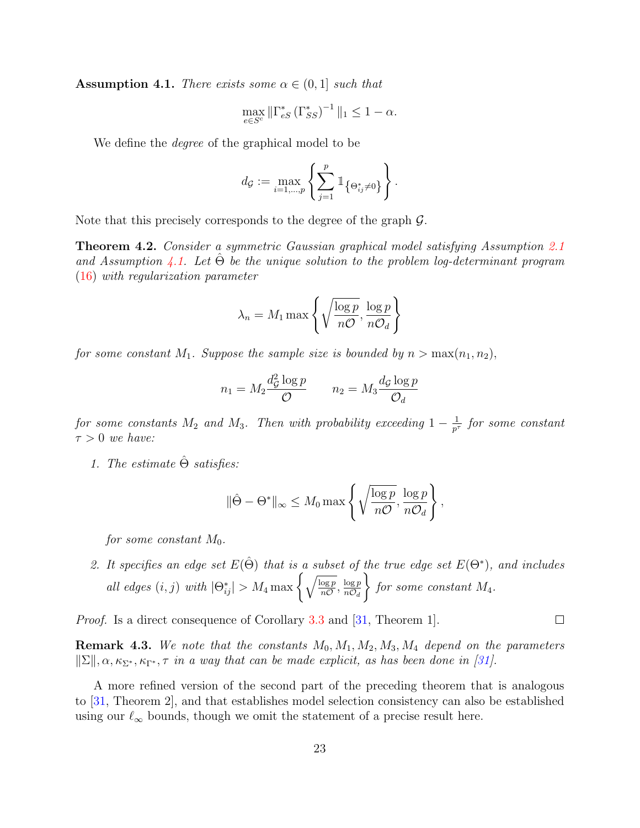<span id="page-22-0"></span>**Assumption 4.1.** There exists some  $\alpha \in (0,1]$  such that

$$
\max_{e \in S^c} \|\Gamma_{eS}^*(\Gamma_{SS}^*)^{-1}\|_1 \le 1 - \alpha.
$$

We define the *degree* of the graphical model to be

$$
d_{\mathcal{G}} := \max_{i=1,\dots,p} \left\{ \sum_{j=1}^p \mathbb{1}_{\left\{\Theta^*_{ij} \neq 0\right\}} \right\}.
$$

Note that this precisely corresponds to the degree of the graph G.

Theorem 4.2. Consider a symmetric Gaussian graphical model satisfying Assumption [2.1](#page-12-0) and Assumption [4.1.](#page-22-0) Let  $\Theta$  be the unique solution to the problem log-determinant program [\(16\)](#page-20-1) with regularization parameter

$$
\lambda_n = M_1 \max \left\{ \sqrt{\frac{\log p}{n\mathcal{O}}}, \frac{\log p}{n\mathcal{O}_d} \right\}
$$

for some constant M<sub>1</sub>. Suppose the sample size is bounded by  $n > \max(n_1, n_2)$ ,

$$
n_1 = M_2 \frac{d_{\mathcal{G}}^2 \log p}{\mathcal{O}} \qquad n_2 = M_3 \frac{d_{\mathcal{G}} \log p}{\mathcal{O}_d}
$$

for some constants  $M_2$  and  $M_3$ . Then with probability exceeding  $1-\frac{1}{p^2}$  $\frac{1}{p^{\tau}}$  for some constant  $\tau > 0$  we have:

1. The estimate  $\hat{\Theta}$  satisfies:

$$
\|\hat{\Theta} - \Theta^*\|_{\infty} \le M_0 \max\left\{\sqrt{\frac{\log p}{n\mathcal{O}}}, \frac{\log p}{n\mathcal{O}_d}\right\},\
$$

for some constant  $M_0$ .

2. It specifies an edge set  $E(\hat{\Theta})$  that is a subset of the true edge set  $E(\Theta^*)$ , and includes all edges  $(i, j)$  with  $|\Theta_{ij}^*| > M_4 \max \left\{ \sqrt{\frac{\log p}{n\mathcal{O}}} , \frac{\log p}{n\mathcal{O}_d} \right\}$  $n\mathcal{O}_d$  $\mathcal{L}$ for some constant  $M_4$ .

*Proof.* Is a direct consequence of Corollary [3.3](#page-16-2) and [\[31,](#page-30-1) Theorem 1].

**Remark 4.3.** We note that the constants  $M_0, M_1, M_2, M_3, M_4$  depend on the parameters  $||\Sigma||, \alpha, \kappa_{\Sigma^*}, \kappa_{\Gamma^*}, \tau$  in a way that can be made explicit, as has been done in [\[31\]](#page-30-1).

A more refined version of the second part of the preceding theorem that is analogous to [\[31,](#page-30-1) Theorem 2], and that establishes model selection consistency can also be established using our  $\ell_{\infty}$  bounds, though we omit the statement of a precise result here.

 $\Box$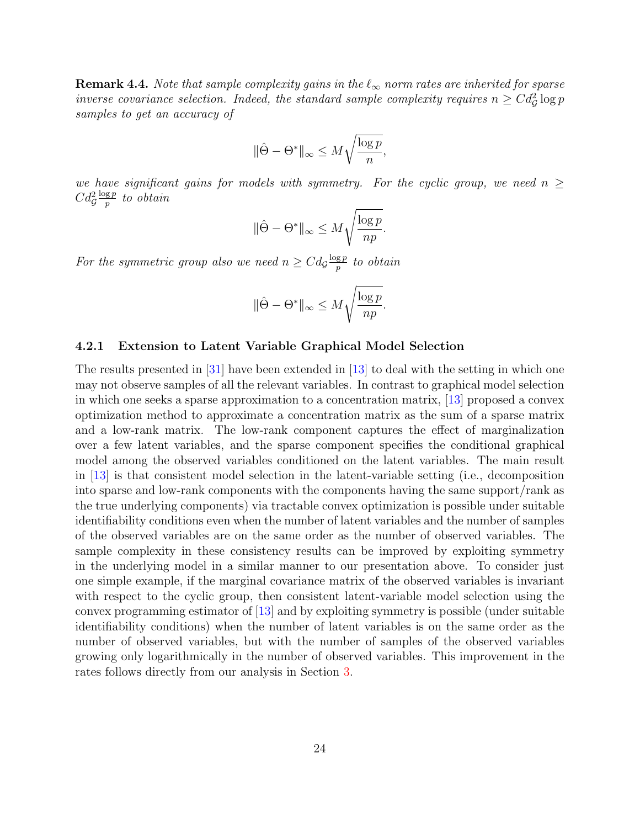**Remark 4.4.** Note that sample complexity gains in the  $\ell_{\infty}$  norm rates are inherited for sparse inverse covariance selection. Indeed, the standard sample complexity requires  $n \geq Cd^2_{\mathcal{G}}\log p$ samples to get an accuracy of

$$
\|\hat{\Theta} - \Theta^*\|_\infty \leq M \sqrt{\frac{\log p}{n}},
$$

we have significant gains for models with symmetry. For the cyclic group, we need  $n \geq$  $Cd^2$  $\log p$  $\frac{\mathbf{g}\,p}{p}$  to obtain

$$
\|\hat{\Theta} - \Theta^*\|_{\infty} \le M \sqrt{\frac{\log p}{np}}.
$$

For the symmetric group also we need  $n \geq Cdg \frac{\log p}{p}$  $\frac{\mathbf{g}\,p}{p}$  to obtain

$$
\|\hat{\Theta} - \Theta^*\|_{\infty} \le M \sqrt{\frac{\log p}{np}}.
$$

#### 4.2.1 Extension to Latent Variable Graphical Model Selection

The results presented in [\[31\]](#page-30-1) have been extended in [\[13\]](#page-29-11) to deal with the setting in which one may not observe samples of all the relevant variables. In contrast to graphical model selection in which one seeks a sparse approximation to a concentration matrix, [\[13\]](#page-29-11) proposed a convex optimization method to approximate a concentration matrix as the sum of a sparse matrix and a low-rank matrix. The low-rank component captures the effect of marginalization over a few latent variables, and the sparse component specifies the conditional graphical model among the observed variables conditioned on the latent variables. The main result in [\[13\]](#page-29-11) is that consistent model selection in the latent-variable setting (i.e., decomposition into sparse and low-rank components with the components having the same support/rank as the true underlying components) via tractable convex optimization is possible under suitable identifiability conditions even when the number of latent variables and the number of samples of the observed variables are on the same order as the number of observed variables. The sample complexity in these consistency results can be improved by exploiting symmetry in the underlying model in a similar manner to our presentation above. To consider just one simple example, if the marginal covariance matrix of the observed variables is invariant with respect to the cyclic group, then consistent latent-variable model selection using the convex programming estimator of [\[13\]](#page-29-11) and by exploiting symmetry is possible (under suitable identifiability conditions) when the number of latent variables is on the same order as the number of observed variables, but with the number of samples of the observed variables growing only logarithmically in the number of observed variables. This improvement in the rates follows directly from our analysis in Section [3.](#page-14-0)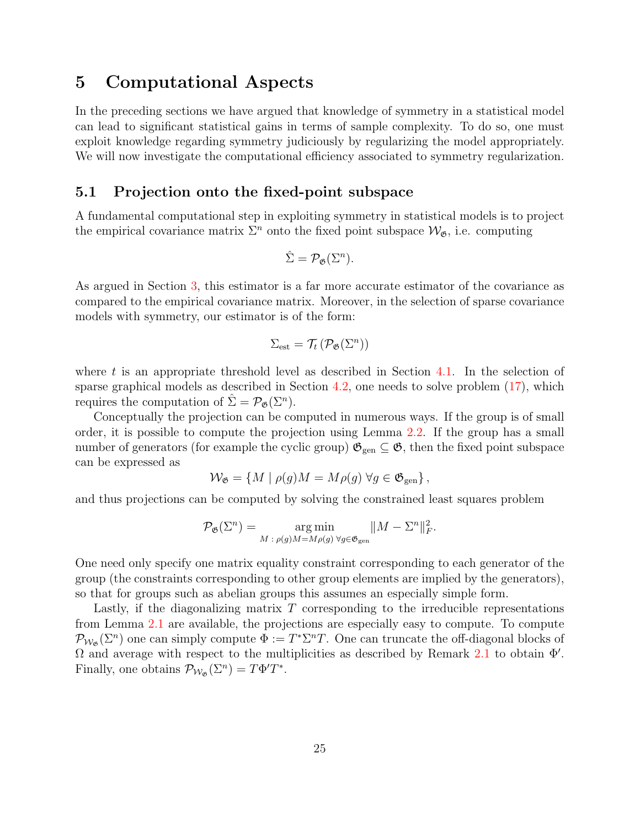## <span id="page-24-0"></span>5 Computational Aspects

In the preceding sections we have argued that knowledge of symmetry in a statistical model can lead to significant statistical gains in terms of sample complexity. To do so, one must exploit knowledge regarding symmetry judiciously by regularizing the model appropriately. We will now investigate the computational efficiency associated to symmetry regularization.

### 5.1 Projection onto the fixed-point subspace

A fundamental computational step in exploiting symmetry in statistical models is to project the empirical covariance matrix  $\Sigma^n$  onto the fixed point subspace  $\mathcal{W}_{\mathfrak{G}}$ , i.e. computing

$$
\hat{\Sigma} = \mathcal{P}_{\mathfrak{G}}(\Sigma^n).
$$

As argued in Section [3,](#page-14-0) this estimator is a far more accurate estimator of the covariance as compared to the empirical covariance matrix. Moreover, in the selection of sparse covariance models with symmetry, our estimator is of the form:

$$
\Sigma_{\rm est} = \mathcal{T}_t\left(\mathcal{P}_{\mathfrak{G}}(\Sigma^n)\right)
$$

where  $t$  is an appropriate threshold level as described in Section [4.1.](#page-17-2) In the selection of sparse graphical models as described in Section [4.2,](#page-19-0) one needs to solve problem [\(17\)](#page-20-2), which requires the computation of  $\hat{\Sigma} = \mathcal{P}_{\mathfrak{G}}(\Sigma^n)$ .

Conceptually the projection can be computed in numerous ways. If the group is of small order, it is possible to compute the projection using Lemma [2.2.](#page-10-0) If the group has a small number of generators (for example the cyclic group)  $\mathfrak{G}_{gen} \subseteq \mathfrak{G}$ , then the fixed point subspace can be expressed as

$$
\mathcal{W}_{\mathfrak{G}} = \{ M \mid \rho(g)M = M\rho(g) \ \forall g \in \mathfrak{G}_{\text{gen}} \},
$$

and thus projections can be computed by solving the constrained least squares problem

$$
\mathcal{P}_{\mathfrak{G}}(\Sigma^n) = \underset{M \,:\, \rho(g)M = M\rho(g)}{\arg\min} \|M - \Sigma^n\|_F^2.
$$

One need only specify one matrix equality constraint corresponding to each generator of the group (the constraints corresponding to other group elements are implied by the generators), so that for groups such as abelian groups this assumes an especially simple form.

Lastly, if the diagonalizing matrix  $T$  corresponding to the irreducible representations from Lemma [2.1](#page-7-1) are available, the projections are especially easy to compute. To compute  $\mathcal{P}_{\mathcal{W}_{\mathfrak{G}}}(\Sigma^n)$  one can simply compute  $\Phi := T^*\Sigma^n T$ . One can truncate the off-diagonal blocks of  $\Omega$  and average with respect to the multiplicities as described by Remark [2.1](#page-10-1) to obtain  $Φ'$ . Finally, one obtains  $\mathcal{P}_{\mathcal{W}_{\mathfrak{G}}}(\Sigma^n) = T\Phi' T^*$ .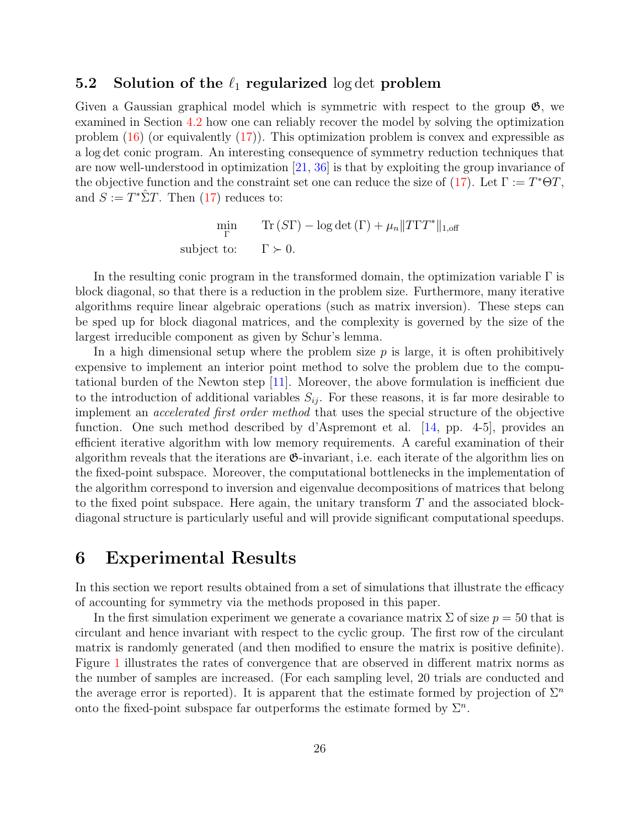### 5.2 Solution of the  $\ell_1$  regularized log det problem

Given a Gaussian graphical model which is symmetric with respect to the group  $\mathfrak{G}$ , we examined in Section [4.2](#page-19-0) how one can reliably recover the model by solving the optimization problem  $(16)$  (or equivalently  $(17)$ ). This optimization problem is convex and expressible as a log det conic program. An interesting consequence of symmetry reduction techniques that are now well-understood in optimization [\[21,](#page-29-5) [36\]](#page-30-8) is that by exploiting the group invariance of the objective function and the constraint set one can reduce the size of [\(17\)](#page-20-2). Let  $\Gamma := T^* \Theta T$ , and  $S := T^* \hat{\Sigma} T$ . Then [\(17\)](#page-20-2) reduces to:

> min Γ Tr  $(ST)$  – log det  $(\Gamma) + \mu_n ||TTT^*||_{1,\text{off}}$ subject to:  $\Gamma \succ 0$ .

In the resulting conic program in the transformed domain, the optimization variable  $\Gamma$  is block diagonal, so that there is a reduction in the problem size. Furthermore, many iterative algorithms require linear algebraic operations (such as matrix inversion). These steps can be sped up for block diagonal matrices, and the complexity is governed by the size of the largest irreducible component as given by Schur's lemma.

In a high dimensional setup where the problem size  $p$  is large, it is often prohibitively expensive to implement an interior point method to solve the problem due to the computational burden of the Newton step [\[11\]](#page-29-12). Moreover, the above formulation is inefficient due to the introduction of additional variables  $S_{ij}$ . For these reasons, it is far more desirable to implement an accelerated first order method that uses the special structure of the objective function. One such method described by d'Aspremont et al. [\[14,](#page-29-13) pp. 4-5], provides an efficient iterative algorithm with low memory requirements. A careful examination of their algorithm reveals that the iterations are G-invariant, i.e. each iterate of the algorithm lies on the fixed-point subspace. Moreover, the computational bottlenecks in the implementation of the algorithm correspond to inversion and eigenvalue decompositions of matrices that belong to the fixed point subspace. Here again, the unitary transform  $T$  and the associated blockdiagonal structure is particularly useful and will provide significant computational speedups.

### <span id="page-25-0"></span>6 Experimental Results

In this section we report results obtained from a set of simulations that illustrate the efficacy of accounting for symmetry via the methods proposed in this paper.

In the first simulation experiment we generate a covariance matrix  $\Sigma$  of size  $p = 50$  that is circulant and hence invariant with respect to the cyclic group. The first row of the circulant matrix is randomly generated (and then modified to ensure the matrix is positive definite). Figure [1](#page-26-0) illustrates the rates of convergence that are observed in different matrix norms as the number of samples are increased. (For each sampling level, 20 trials are conducted and the average error is reported). It is apparent that the estimate formed by projection of  $\Sigma^n$ onto the fixed-point subspace far outperforms the estimate formed by  $\Sigma<sup>n</sup>$ .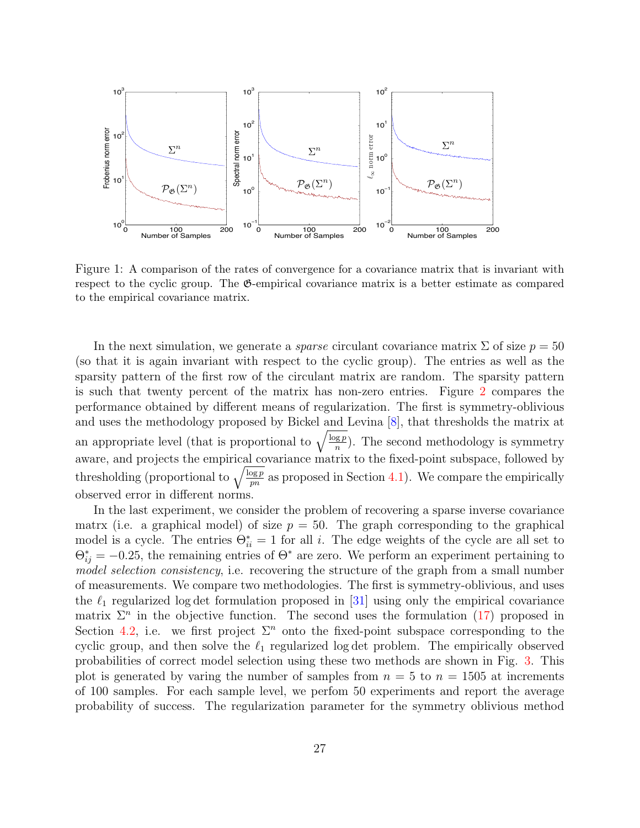

<span id="page-26-0"></span>Figure 1: A comparison of the rates of convergence for a covariance matrix that is invariant with respect to the cyclic group. The G-empirical covariance matrix is a better estimate as compared to the empirical covariance matrix.

In the next simulation, we generate a *sparse* circulant covariance matrix  $\Sigma$  of size  $p = 50$ (so that it is again invariant with respect to the cyclic group). The entries as well as the sparsity pattern of the first row of the circulant matrix are random. The sparsity pattern is such that twenty percent of the matrix has non-zero entries. Figure [2](#page-27-1) compares the performance obtained by different means of regularization. The first is symmetry-oblivious and uses the methodology proposed by Bickel and Levina [\[8\]](#page-29-1), that thresholds the matrix at an appropriate level (that is proportional to  $\sqrt{\frac{\log p}{n}}$ ). The second methodology is symmetry aware, and projects the empirical covariance matrix to the fixed-point subspace, followed by thresholding (proportional to  $\sqrt{\frac{\log p}{pn}}$  as proposed in Section [4.1\)](#page-17-2). We compare the empirically observed error in different norms.

In the last experiment, we consider the problem of recovering a sparse inverse covariance matrx (i.e. a graphical model) of size  $p = 50$ . The graph corresponding to the graphical model is a cycle. The entries  $\Theta_{ii}^* = 1$  for all i. The edge weights of the cycle are all set to  $\Theta_{ij}^* = -0.25$ , the remaining entries of  $\Theta^*$  are zero. We perform an experiment pertaining to model selection consistency, i.e. recovering the structure of the graph from a small number of measurements. We compare two methodologies. The first is symmetry-oblivious, and uses the  $\ell_1$  regularized log det formulation proposed in [\[31\]](#page-30-1) using only the empirical covariance matrix  $\Sigma^n$  in the objective function. The second uses the formulation [\(17\)](#page-20-2) proposed in Section [4.2,](#page-19-0) i.e. we first project  $\Sigma<sup>n</sup>$  onto the fixed-point subspace corresponding to the cyclic group, and then solve the  $\ell_1$  regularized log det problem. The empirically observed probabilities of correct model selection using these two methods are shown in Fig. [3.](#page-28-6) This plot is generated by varing the number of samples from  $n = 5$  to  $n = 1505$  at increments of 100 samples. For each sample level, we perfom 50 experiments and report the average probability of success. The regularization parameter for the symmetry oblivious method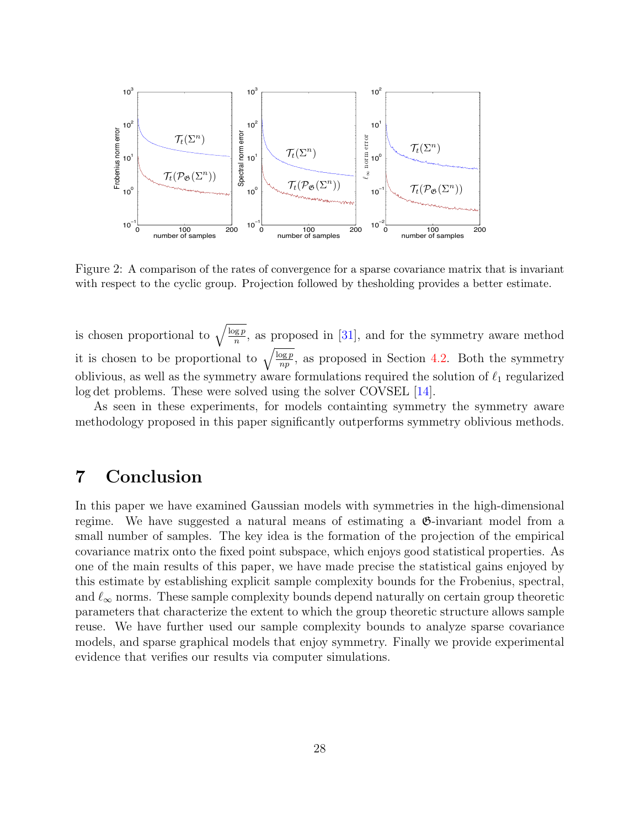

<span id="page-27-1"></span>Figure 2: A comparison of the rates of convergence for a sparse covariance matrix that is invariant with respect to the cyclic group. Projection followed by thesholding provides a better estimate.

is chosen proportional to  $\sqrt{\frac{\log p}{n}}$ , as proposed in [\[31\]](#page-30-1), and for the symmetry aware method it is chosen to be proportional to  $\sqrt{\frac{\log p}{np}}$ , as proposed in Section [4.2.](#page-19-0) Both the symmetry oblivious, as well as the symmetry aware formulations required the solution of  $\ell_1$  regularized log det problems. These were solved using the solver COVSEL [\[14\]](#page-29-13).

As seen in these experiments, for models containting symmetry the symmetry aware methodology proposed in this paper significantly outperforms symmetry oblivious methods.

## <span id="page-27-0"></span>7 Conclusion

In this paper we have examined Gaussian models with symmetries in the high-dimensional regime. We have suggested a natural means of estimating a G-invariant model from a small number of samples. The key idea is the formation of the projection of the empirical covariance matrix onto the fixed point subspace, which enjoys good statistical properties. As one of the main results of this paper, we have made precise the statistical gains enjoyed by this estimate by establishing explicit sample complexity bounds for the Frobenius, spectral, and  $\ell_{\infty}$  norms. These sample complexity bounds depend naturally on certain group theoretic parameters that characterize the extent to which the group theoretic structure allows sample reuse. We have further used our sample complexity bounds to analyze sparse covariance models, and sparse graphical models that enjoy symmetry. Finally we provide experimental evidence that verifies our results via computer simulations.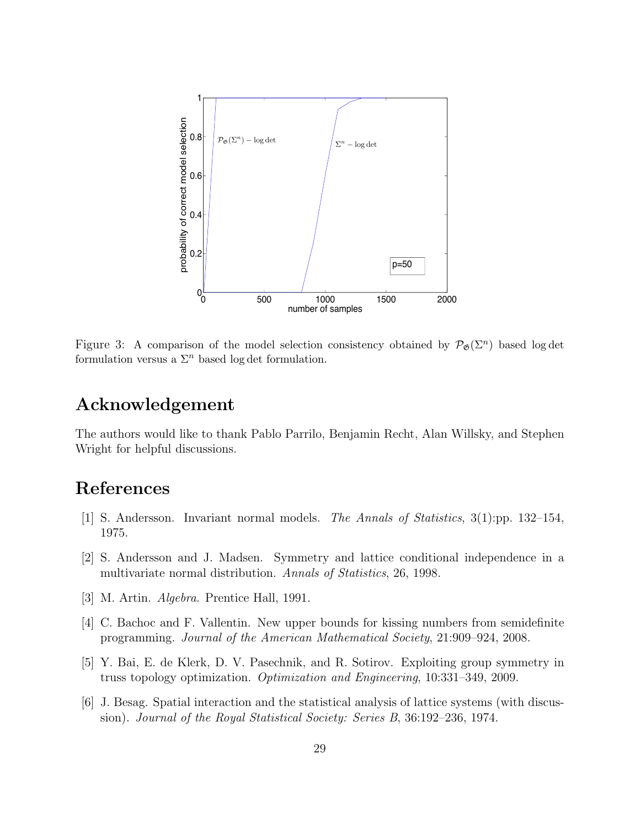

<span id="page-28-6"></span>Figure 3: A comparison of the model selection consistency obtained by  $\mathcal{P}_{\mathfrak{G}}(\Sigma^n)$  based log det formulation versus a  $\Sigma<sup>n</sup>$  based log det formulation.

## Acknowledgement

The authors would like to thank Pablo Parrilo, Benjamin Recht, Alan Willsky, and Stephen Wright for helpful discussions.

## References

- <span id="page-28-0"></span>[1] S. Andersson. Invariant normal models. The Annals of Statistics, 3(1):pp. 132–154, 1975.
- <span id="page-28-2"></span>[2] S. Andersson and J. Madsen. Symmetry and lattice conditional independence in a multivariate normal distribution. Annals of Statistics, 26, 1998.
- <span id="page-28-5"></span>[3] M. Artin. Algebra. Prentice Hall, 1991.
- <span id="page-28-3"></span>[4] C. Bachoc and F. Vallentin. New upper bounds for kissing numbers from semidefinite programming. Journal of the American Mathematical Society, 21:909–924, 2008.
- <span id="page-28-4"></span>[5] Y. Bai, E. de Klerk, D. V. Pasechnik, and R. Sotirov. Exploiting group symmetry in truss topology optimization. Optimization and Engineering, 10:331–349, 2009.
- <span id="page-28-1"></span>[6] J. Besag. Spatial interaction and the statistical analysis of lattice systems (with discussion). Journal of the Royal Statistical Society: Series B, 36:192–236, 1974.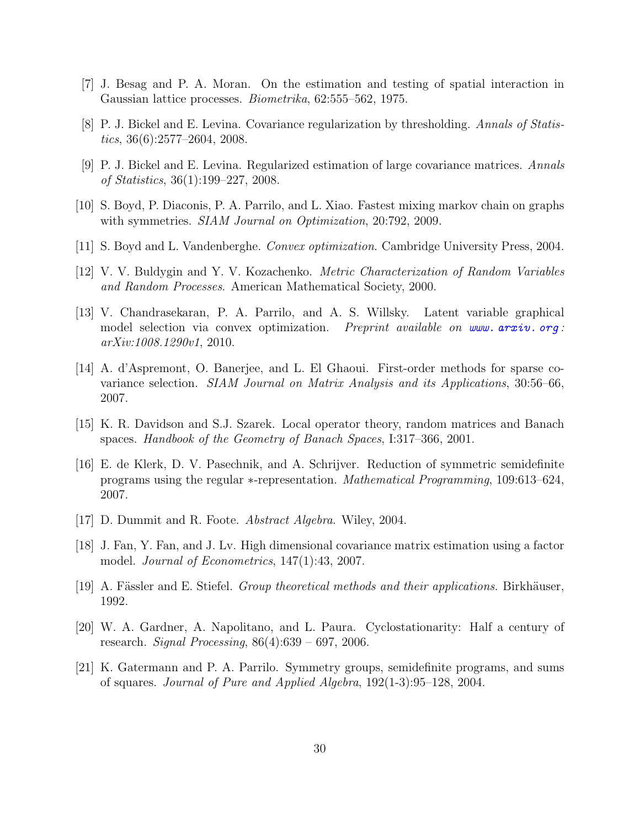- <span id="page-29-4"></span>[7] J. Besag and P. A. Moran. On the estimation and testing of spatial interaction in Gaussian lattice processes. *Biometrika*, 62:555–562, 1975.
- <span id="page-29-1"></span>[8] P. J. Bickel and E. Levina. Covariance regularization by thresholding. Annals of Statistics, 36(6):2577–2604, 2008.
- <span id="page-29-0"></span>[9] P. J. Bickel and E. Levina. Regularized estimation of large covariance matrices. Annals of Statistics, 36(1):199–227, 2008.
- <span id="page-29-7"></span>[10] S. Boyd, P. Diaconis, P. A. Parrilo, and L. Xiao. Fastest mixing markov chain on graphs with symmetries. *SIAM Journal on Optimization*, 20:792, 2009.
- <span id="page-29-12"></span>[11] S. Boyd and L. Vandenberghe. Convex optimization. Cambridge University Press, 2004.
- <span id="page-29-14"></span>[12] V. V. Buldygin and Y. V. Kozachenko. Metric Characterization of Random Variables and Random Processes. American Mathematical Society, 2000.
- <span id="page-29-11"></span>[13] V. Chandrasekaran, P. A. Parrilo, and A. S. Willsky. Latent variable graphical model selection via convex optimization. Preprint available on www.  $arxiv$ . org: arXiv:1008.1290v1, 2010.
- <span id="page-29-13"></span>[14] A. d'Aspremont, O. Banerjee, and L. El Ghaoui. First-order methods for sparse covariance selection. SIAM Journal on Matrix Analysis and its Applications, 30:56–66, 2007.
- <span id="page-29-10"></span>[15] K. R. Davidson and S.J. Szarek. Local operator theory, random matrices and Banach spaces. Handbook of the Geometry of Banach Spaces, I:317–366, 2001.
- <span id="page-29-6"></span>[16] E. de Klerk, D. V. Pasechnik, and A. Schrijver. Reduction of symmetric semidefinite programs using the regular ∗-representation. Mathematical Programming, 109:613–624, 2007.
- <span id="page-29-9"></span>[17] D. Dummit and R. Foote. Abstract Algebra. Wiley, 2004.
- <span id="page-29-2"></span>[18] J. Fan, Y. Fan, and J. Lv. High dimensional covariance matrix estimation using a factor model. Journal of Econometrics, 147(1):43, 2007.
- <span id="page-29-3"></span>[19] A. Fässler and E. Stiefel. *Group theoretical methods and their applications*. Birkhäuser, 1992.
- <span id="page-29-8"></span>[20] W. A. Gardner, A. Napolitano, and L. Paura. Cyclostationarity: Half a century of research. *Signal Processing*,  $86(4):639 - 697$ , 2006.
- <span id="page-29-5"></span>[21] K. Gatermann and P. A. Parrilo. Symmetry groups, semidefinite programs, and sums of squares. Journal of Pure and Applied Algebra, 192(1-3):95–128, 2004.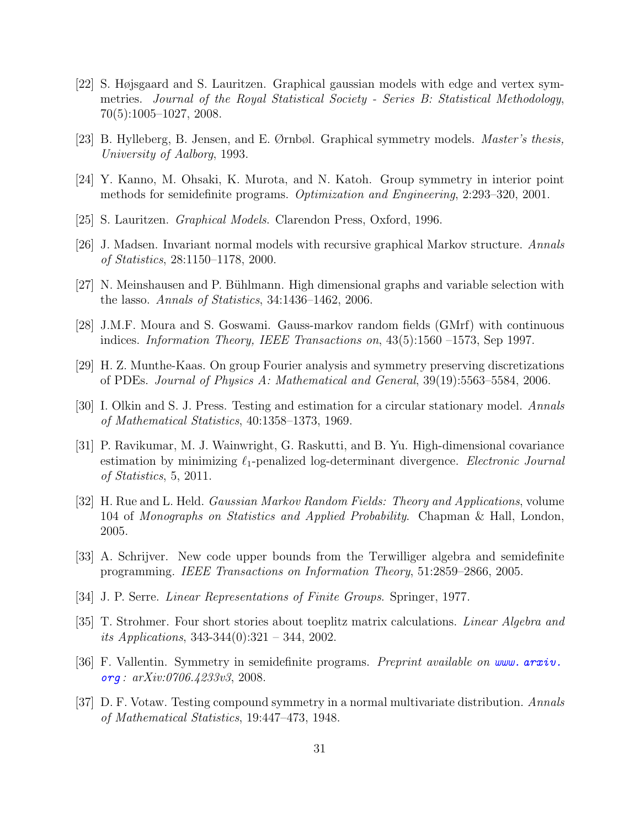- <span id="page-30-3"></span>[22] S. Højsgaard and S. Lauritzen. Graphical gaussian models with edge and vertex symmetries. Journal of the Royal Statistical Society - Series B: Statistical Methodology, 70(5):1005–1027, 2008.
- <span id="page-30-6"></span>[23] B. Hylleberg, B. Jensen, and E. Ørnbøl. Graphical symmetry models. Master's thesis, University of Aalborg, 1993.
- <span id="page-30-9"></span>[24] Y. Kanno, M. Ohsaki, K. Murota, and N. Katoh. Group symmetry in interior point methods for semidefinite programs. *Optimization and Engineering*, 2:293–320, 2001.
- <span id="page-30-0"></span>[25] S. Lauritzen. Graphical Models. Clarendon Press, Oxford, 1996.
- <span id="page-30-7"></span>[26] J. Madsen. Invariant normal models with recursive graphical Markov structure. Annals of Statistics, 28:1150–1178, 2000.
- <span id="page-30-2"></span>[27] N. Meinshausen and P. Bühlmann. High dimensional graphs and variable selection with the lasso. Annals of Statistics, 34:1436–1462, 2006.
- <span id="page-30-11"></span>[28] J.M.F. Moura and S. Goswami. Gauss-markov random fields (GMrf) with continuous indices. Information Theory, IEEE Transactions on, 43(5):1560 –1573, Sep 1997.
- <span id="page-30-13"></span>[29] H. Z. Munthe-Kaas. On group Fourier analysis and symmetry preserving discretizations of PDEs. Journal of Physics A: Mathematical and General, 39(19):5563–5584, 2006.
- <span id="page-30-4"></span>[30] I. Olkin and S. J. Press. Testing and estimation for a circular stationary model. Annals of Mathematical Statistics, 40:1358–1373, 1969.
- <span id="page-30-1"></span>[31] P. Ravikumar, M. J. Wainwright, G. Raskutti, and B. Yu. High-dimensional covariance estimation by minimizing  $\ell_1$ -penalized log-determinant divergence. Electronic Journal of Statistics, 5, 2011.
- <span id="page-30-12"></span>[32] H. Rue and L. Held. Gaussian Markov Random Fields: Theory and Applications, volume 104 of Monographs on Statistics and Applied Probability. Chapman & Hall, London, 2005.
- <span id="page-30-10"></span>[33] A. Schrijver. New code upper bounds from the Terwilliger algebra and semidefinite programming. IEEE Transactions on Information Theory, 51:2859–2866, 2005.
- <span id="page-30-15"></span>[34] J. P. Serre. Linear Representations of Finite Groups. Springer, 1977.
- <span id="page-30-14"></span>[35] T. Strohmer. Four short stories about toeplitz matrix calculations. Linear Algebra and its Applications, 343-344(0):321 – 344, 2002.
- <span id="page-30-8"></span>[36] F. Vallentin. Symmetry in semidefinite programs. *Preprint available on [www. arxiv.](www.arxiv.org)* [org](www.arxiv.org) : arXiv:0706.4233v3, 2008.
- <span id="page-30-5"></span>[37] D. F. Votaw. Testing compound symmetry in a normal multivariate distribution. Annals of Mathematical Statistics, 19:447–473, 1948.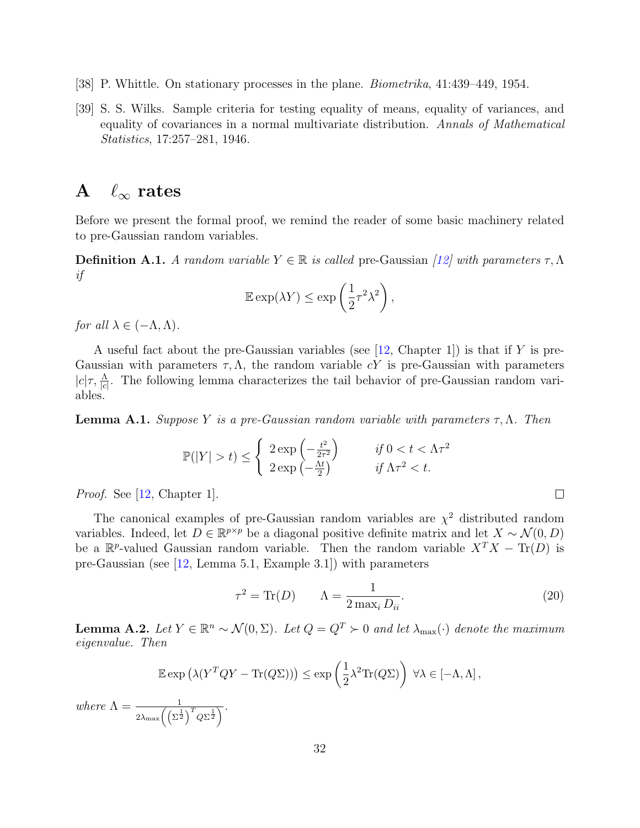- <span id="page-31-1"></span>[38] P. Whittle. On stationary processes in the plane. Biometrika, 41:439–449, 1954.
- <span id="page-31-0"></span>[39] S. S. Wilks. Sample criteria for testing equality of means, equality of variances, and equality of covariances in a normal multivariate distribution. Annals of Mathematical Statistics, 17:257–281, 1946.

## A  $\ell_{\infty}$  rates

Before we present the formal proof, we remind the reader of some basic machinery related to pre-Gaussian random variables.

**Definition A.1.** A random variable  $Y \in \mathbb{R}$  is called pre-Gaussian [\[12\]](#page-29-14) with parameters  $\tau, \Lambda$ if

$$
\mathbb{E}\exp(\lambda Y) \le \exp\left(\frac{1}{2}\tau^2\lambda^2\right),\,
$$

for all  $\lambda \in (-\Lambda, \Lambda)$ .

A useful fact about the pre-Gaussian variables (see [\[12,](#page-29-14) Chapter 1]) is that if Y is pre-Gaussian with parameters  $\tau, \Lambda$ , the random variable cY is pre-Gaussian with parameters  $|c|\tau, \frac{\Lambda}{|c|}$ . The following lemma characterizes the tail behavior of pre-Gaussian random variables.

<span id="page-31-4"></span>**Lemma A.1.** Suppose Y is a pre-Gaussian random variable with parameters  $\tau$ ,  $\Lambda$ . Then

$$
\mathbb{P}(|Y| > t) \le \begin{cases} 2\exp\left(-\frac{t^2}{2\tau^2}\right) & \text{if } 0 < t < \Lambda\tau^2 \\ 2\exp\left(-\frac{\Lambda t}{2}\right) & \text{if } \Lambda\tau^2 < t. \end{cases}
$$

Proof. See [\[12,](#page-29-14) Chapter 1].

The canonical examples of pre-Gaussian random variables are  $\chi^2$  distributed random variables. Indeed, let  $D \in \mathbb{R}^{p \times p}$  be a diagonal positive definite matrix and let  $X \sim \mathcal{N}(0, D)$ be a  $\mathbb{R}^p$ -valued Gaussian random variable. Then the random variable  $X^T X - \text{Tr}(D)$  is pre-Gaussian (see [\[12,](#page-29-14) Lemma 5.1, Example 3.1]) with parameters

<span id="page-31-2"></span>
$$
\tau^2 = \text{Tr}(D) \qquad \Lambda = \frac{1}{2 \max_i D_{ii}}.\tag{20}
$$

<span id="page-31-3"></span>**Lemma A.2.** Let  $Y \in \mathbb{R}^n \sim \mathcal{N}(0, \Sigma)$ . Let  $Q = Q^T \succ 0$  and let  $\lambda_{\max}(\cdot)$  denote the maximum eigenvalue. Then

$$
\mathbb{E} \exp \left( \lambda (Y^T Q Y - \text{Tr}(Q \Sigma)) \right) \le \exp \left( \frac{1}{2} \lambda^2 \text{Tr}(Q \Sigma) \right) \ \forall \lambda \in [-\Lambda, \Lambda],
$$
  
where 
$$
\Lambda = \frac{1}{2\lambda_{\max} \left( \left( \Sigma^{\frac{1}{2}} \right)^T Q \Sigma^{\frac{1}{2}} \right)}.
$$

 $\Box$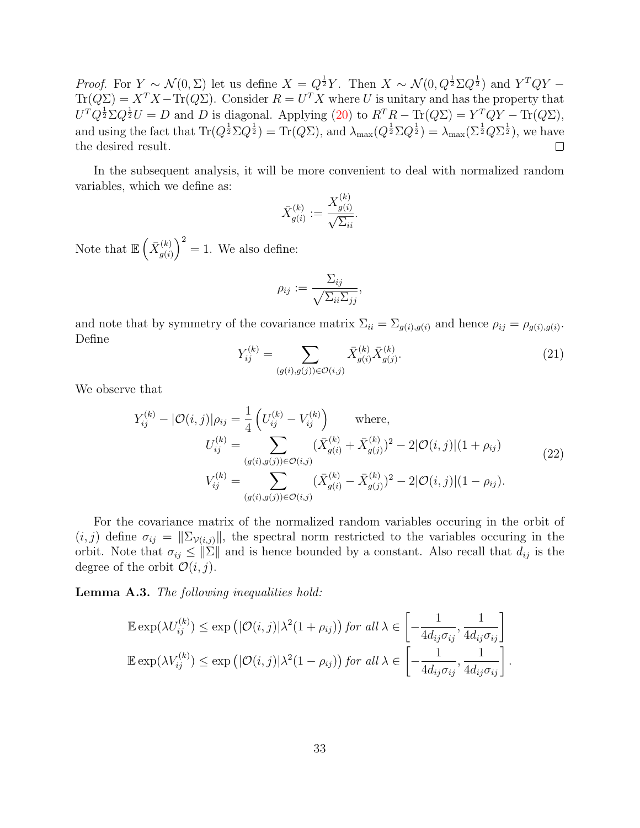*Proof.* For  $Y \sim \mathcal{N}(0, \Sigma)$  let us define  $X = Q^{\frac{1}{2}}Y$ . Then  $X \sim \mathcal{N}(0, Q^{\frac{1}{2}}\Sigma Q^{\frac{1}{2}})$  and  $Y^TQY Tr(Q\Sigma) = X^T X - Tr(Q\Sigma)$ . Consider  $R = U^T X$  where U is unitary and has the property that  $U^T Q^{\frac{1}{2}} \Sigma Q^{\frac{1}{2}} U = D$  and D is diagonal. Applying [\(20\)](#page-31-2) to  $R^T R - \text{Tr}(Q\Sigma) = Y^T Q Y - \text{Tr}(Q\Sigma)$ , and using the fact that  $\text{Tr}(Q^{\frac{1}{2}}\Sigma Q^{\frac{1}{2}}) = \text{Tr}(Q\Sigma)$ , and  $\lambda_{\max}(Q^{\frac{1}{2}}\Sigma Q^{\frac{1}{2}}) = \lambda_{\max}(\Sigma^{\frac{1}{2}}Q\Sigma^{\frac{1}{2}})$ , we have the desired result.

In the subsequent analysis, it will be more convenient to deal with normalized random variables, which we define as:  $\langle v \rangle$ 

$$
\bar{X}_{g(i)}^{(k)} := \frac{X_{g(i)}^{(k)}}{\sqrt{\Sigma_{ii}}}.
$$

Note that  $\mathbb{E}\left(\bar{X}_{a(i)}^{(k)}\right)$  $\binom{k}{g(i)}^2 = 1$ . We also define:

$$
\rho_{ij} := \frac{\Sigma_{ij}}{\sqrt{\Sigma_{ii}\Sigma_{jj}}},
$$

and note that by symmetry of the covariance matrix  $\Sigma_{ii} = \Sigma_{g(i),g(i)}$  and hence  $\rho_{ij} = \rho_{g(i),g(i)}$ . Define

$$
Y_{ij}^{(k)} = \sum_{(g(i),g(j)) \in \mathcal{O}(i,j)} \bar{X}_{g(i)}^{(k)} \bar{X}_{g(j)}^{(k)}.
$$
\n(21)

<span id="page-32-0"></span>We observe that

$$
Y_{ij}^{(k)} - |\mathcal{O}(i,j)|\rho_{ij} = \frac{1}{4} \left( U_{ij}^{(k)} - V_{ij}^{(k)} \right) \text{ where,}
$$
  
\n
$$
U_{ij}^{(k)} = \sum_{(g(i),g(j)) \in \mathcal{O}(i,j)} (\bar{X}_{g(i)}^{(k)} + \bar{X}_{g(j)}^{(k)})^2 - 2|\mathcal{O}(i,j)|(1 + \rho_{ij})
$$
  
\n
$$
V_{ij}^{(k)} = \sum_{(g(i),g(j)) \in \mathcal{O}(i,j)} (\bar{X}_{g(i)}^{(k)} - \bar{X}_{g(j)}^{(k)})^2 - 2|\mathcal{O}(i,j)|(1 - \rho_{ij}).
$$
\n(22)

For the covariance matrix of the normalized random variables occuring in the orbit of  $(i, j)$  define  $\sigma_{ij} = ||\Sigma_{\mathcal{V}(i,j)}||$ , the spectral norm restricted to the variables occuring in the orbit. Note that  $\sigma_{ij} \leq ||\Sigma||$  and is hence bounded by a constant. Also recall that  $d_{ij}$  is the degree of the orbit  $\mathcal{O}(i, j)$ .

<span id="page-32-1"></span>Lemma A.3. The following inequalities hold:

$$
\mathbb{E} \exp(\lambda U_{ij}^{(k)}) \le \exp\left(|\mathcal{O}(i,j)|\lambda^2(1+\rho_{ij})\right) \text{ for all } \lambda \in \left[-\frac{1}{4d_{ij}\sigma_{ij}}, \frac{1}{4d_{ij}\sigma_{ij}}\right] \\
\mathbb{E} \exp(\lambda V_{ij}^{(k)}) \le \exp\left(|\mathcal{O}(i,j)|\lambda^2(1-\rho_{ij})\right) \text{ for all } \lambda \in \left[-\frac{1}{4d_{ij}\sigma_{ij}}, \frac{1}{4d_{ij}\sigma_{ij}}\right].
$$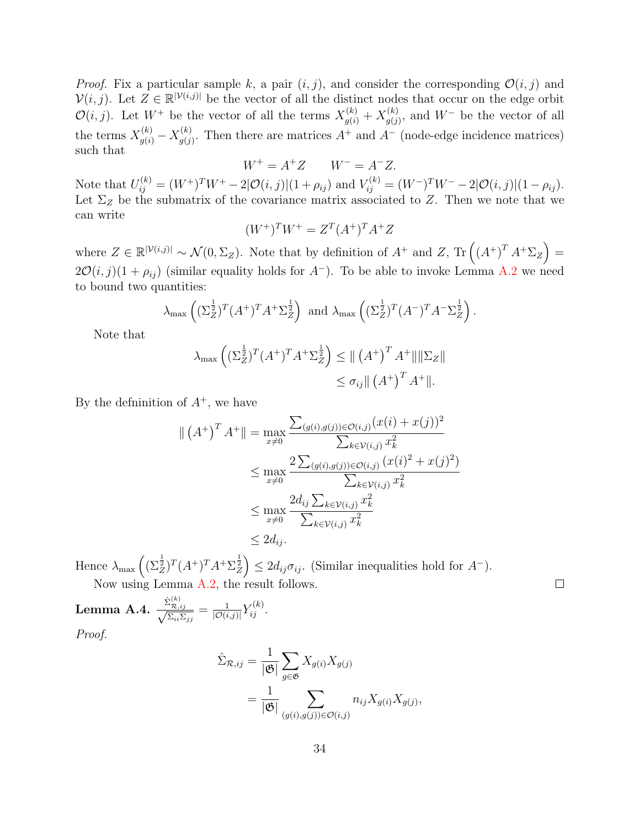*Proof.* Fix a particular sample k, a pair  $(i, j)$ , and consider the corresponding  $\mathcal{O}(i, j)$  and  $\mathcal{V}(i, j)$ . Let  $Z \in \mathbb{R}^{|\mathcal{V}(i,j)|}$  be the vector of all the distinct nodes that occur on the edge orbit  $\mathcal{O}(i, j)$ . Let  $W^+$  be the vector of all the terms  $X_{g(i)}^{(k)} + X_{g(j)}^{(k)}$  $g_{(j)}^{(k)}$ , and  $W^-$  be the vector of all the terms  $X_{g(i)}^{(k)} - X_{g(j)}^{(k)}$  $g^{(k)}_{g(j)}$ . Then there are matrices  $A^+$  and  $A^-$  (node-edge incidence matrices) such that

$$
W^+ = A^+ Z \qquad W^- = A^- Z.
$$

Note that  $U_{ij}^{(k)} = (W^+)^T W^+ - 2|\mathcal{O}(i,j)|(1+\rho_{ij})$  and  $V_{ij}^{(k)} = (W^-)^T W^- - 2|\mathcal{O}(i,j)|(1-\rho_{ij})$ . Let  $\Sigma_Z$  be the submatrix of the covariance matrix associated to Z. Then we note that we can write

$$
(W^+)^T W^+ = Z^T (A^+)^T A^+ Z
$$

where  $Z \in \mathbb{R}^{|\mathcal{V}(i,j)|} \sim \mathcal{N}(0,\Sigma_Z)$ . Note that by definition of  $A^+$  and  $Z$ ,  $\text{Tr}\left((A^+)^T A^+ \Sigma_Z\right) =$  $2\mathcal{O}(i, j)(1 + \rho_{ij})$  (similar equality holds for  $A^-$ ). To be able to invoke Lemma [A.2](#page-31-3) we need to bound two quantities:

$$
\lambda_{\max}\left( (\Sigma_Z^{\frac{1}{2}})^T (A^+)^T A^+ \Sigma_Z^{\frac{1}{2}} \right)
$$
 and  $\lambda_{\max}\left( (\Sigma_Z^{\frac{1}{2}})^T (A^-)^T A^- \Sigma_Z^{\frac{1}{2}} \right)$ .

Note that

$$
\lambda_{\max} \left( (\Sigma_Z^{\frac{1}{2}})^T (A^+)^T A^+ \Sigma_Z^{\frac{1}{2}} \right) \le || (A^+)^T A^+ || ||\Sigma_Z||
$$
  

$$
\le \sigma_{ij} || (A^+)^T A^+ ||.
$$

By the definition of  $A^+$ , we have

$$
\| (A^+)^T A^+ \| = \max_{x \neq 0} \frac{\sum_{(g(i), g(j)) \in \mathcal{O}(i,j)} (x(i) + x(j))^2}{\sum_{k \in \mathcal{V}(i,j)} x_k^2}
$$
  

$$
\leq \max_{x \neq 0} \frac{2 \sum_{(g(i), g(j)) \in \mathcal{O}(i,j)} (x(i)^2 + x(j)^2)}{\sum_{k \in \mathcal{V}(i,j)} x_k^2}
$$
  

$$
\leq \max_{x \neq 0} \frac{2d_{ij} \sum_{k \in \mathcal{V}(i,j)} x_k^2}{\sum_{k \in \mathcal{V}(i,j)} x_k^2}
$$
  

$$
\leq 2d_{ij}.
$$

Hence  $\lambda_{\max}\left( (\Sigma_Z^{\frac{1}{2}})^T (A^+)^T A^+ \Sigma_Z^{\frac{1}{2}} \right) \leq 2 d_{ij} \sigma_{ij}$ . (Similar inequalities hold for  $A^-$ ). Now using Lemma [A.2,](#page-31-3) the result follows.

 $\text{Lemma A.4.} \; \frac{\hat{\Sigma}_{\mathcal{R},ij}^{(k)}}{\sqrt{\Sigma_{ii}\Sigma_{jj}}} = \frac{1}{|\mathcal{O}(i)|}$  $\frac{1}{|\mathcal{O}(i,j)|} Y_{ij}^{(k)}$ . Proof.

$$
\hat{\Sigma}_{\mathcal{R},ij} = \frac{1}{|\mathfrak{G}|} \sum_{g \in \mathfrak{G}} X_{g(i)} X_{g(j)} \n= \frac{1}{|\mathfrak{G}|} \sum_{(g(i),g(j)) \in \mathcal{O}(i,j)} n_{ij} X_{g(i)} X_{g(j)},
$$

 $\Box$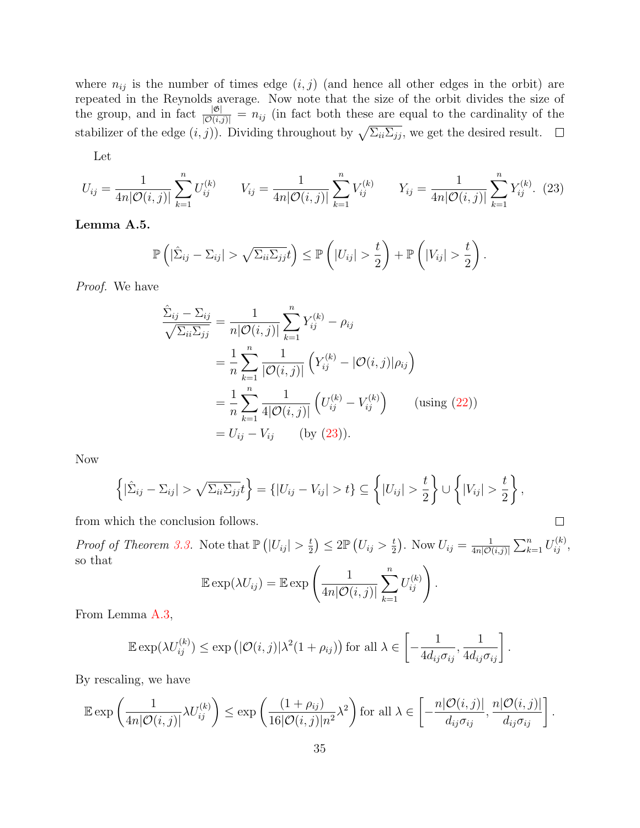where  $n_{ij}$  is the number of times edge  $(i, j)$  (and hence all other edges in the orbit) are repeated in the Reynolds average. Now note that the size of the orbit divides the size of the group, and in fact  $\frac{|\mathfrak{G}|}{|O(i,j)|} = n_{ij}$  (in fact both these are equal to the cardinality of the stabilizer of the edge  $(i, j)$ ). Dividing throughout by  $\sqrt{\sum_{ii}\sum_{jj}}$ , we get the desired result.

Let

$$
U_{ij} = \frac{1}{4n|\mathcal{O}(i,j)|} \sum_{k=1}^{n} U_{ij}^{(k)} \qquad V_{ij} = \frac{1}{4n|\mathcal{O}(i,j)|} \sum_{k=1}^{n} V_{ij}^{(k)} \qquad Y_{ij} = \frac{1}{4n|\mathcal{O}(i,j)|} \sum_{k=1}^{n} Y_{ij}^{(k)}.
$$
 (23)

<span id="page-34-1"></span>Lemma A.5.

$$
\mathbb{P}\left(|\hat{\Sigma}_{ij}-\Sigma_{ij}| > \sqrt{\Sigma_{ii}\Sigma_{jj}}t\right) \leq \mathbb{P}\left(|U_{ij}| > \frac{t}{2}\right) + \mathbb{P}\left(|V_{ij}| > \frac{t}{2}\right).
$$

Proof. We have

$$
\frac{\hat{\Sigma}_{ij} - \Sigma_{ij}}{\sqrt{\Sigma_{ii}\Sigma_{jj}}} = \frac{1}{n|\mathcal{O}(i,j)|} \sum_{k=1}^{n} Y_{ij}^{(k)} - \rho_{ij}
$$
\n
$$
= \frac{1}{n} \sum_{k=1}^{n} \frac{1}{|\mathcal{O}(i,j)|} \left( Y_{ij}^{(k)} - |\mathcal{O}(i,j)| \rho_{ij} \right)
$$
\n
$$
= \frac{1}{n} \sum_{k=1}^{n} \frac{1}{4|\mathcal{O}(i,j)|} \left( U_{ij}^{(k)} - V_{ij}^{(k)} \right) \qquad \text{(using (22))}
$$
\n
$$
= U_{ij} - V_{ij} \qquad \text{(by (23))}.
$$

Now

$$
\left\{ |\hat{\Sigma}_{ij} - \Sigma_{ij}| > \sqrt{\Sigma_{ii} \Sigma_{jj}} t \right\} = \left\{ |U_{ij} - V_{ij}| > t \right\} \subseteq \left\{ |U_{ij}| > \frac{t}{2} \right\} \cup \left\{ |V_{ij}| > \frac{t}{2} \right\},\
$$

from which the conclusion follows.

*Proof of Theorem [3.3.](#page-16-0)* Note that  $\mathbb{P}\left(|U_{ij}|>\frac{t}{2}\right)$  $\left(\frac{t}{2}\right) \leq 2 \mathbb{P}\left(U_{ij} > \frac{t}{2}\right)$  $(\frac{t}{2})$ . Now  $U_{ij} = \frac{1}{4n|\mathcal{O}(i)}$  $\frac{1}{4n|{\cal O}(i,j)|}\sum_{k=1}^n U_{ij}^{(k)},$ so that

<span id="page-34-0"></span> $\Box$ 

$$
\mathbb{E}\exp(\lambda U_{ij}) = \mathbb{E}\exp\left(\frac{1}{4n|\mathcal{O}(i,j)|}\sum_{k=1}^n U_{ij}^{(k)}\right).
$$

From Lemma [A.3,](#page-32-1)

$$
\mathbb{E} \exp(\lambda U_{ij}^{(k)}) \le \exp\left(|\mathcal{O}(i,j)|\lambda^2(1+\rho_{ij})\right) \text{ for all } \lambda \in \left[-\frac{1}{4d_{ij}\sigma_{ij}}, \frac{1}{4d_{ij}\sigma_{ij}}\right].
$$

By rescaling, we have

$$
\mathbb{E} \exp\left(\frac{1}{4n|\mathcal{O}(i,j)|}\lambda U_{ij}^{(k)}\right) \le \exp\left(\frac{(1+\rho_{ij})}{16|\mathcal{O}(i,j)|n^2}\lambda^2\right) \text{ for all } \lambda \in \left[-\frac{n|\mathcal{O}(i,j)|}{d_{ij}\sigma_{ij}}, \frac{n|\mathcal{O}(i,j)|}{d_{ij}\sigma_{ij}}\right].
$$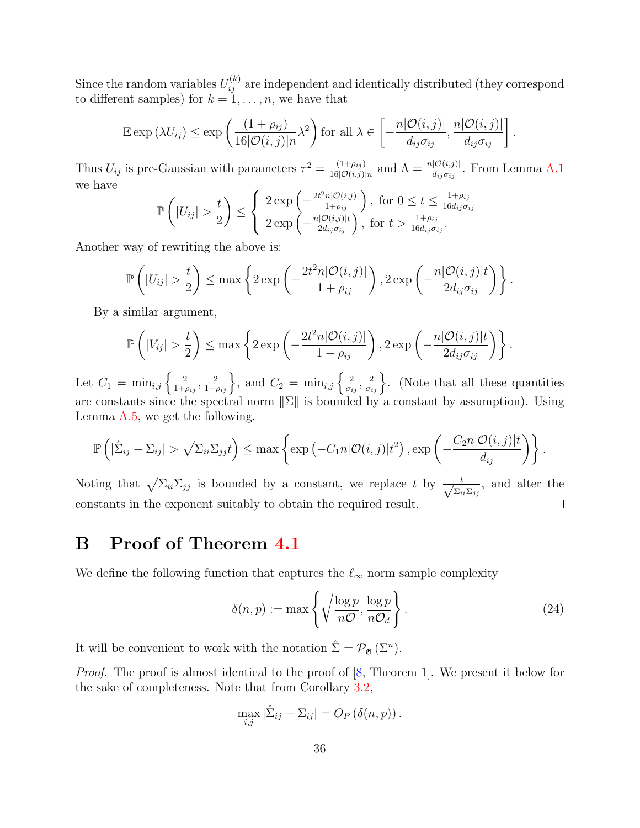Since the random variables  $U_{ij}^{(k)}$  are independent and identically distributed (they correspond to different samples) for  $k = 1, \ldots, n$ , we have that

$$
\mathbb{E}\exp\left(\lambda U_{ij}\right) \leq \exp\left(\frac{(1+\rho_{ij})}{16|\mathcal{O}(i,j)|n}\lambda^2\right) \text{ for all } \lambda \in \left[-\frac{n|\mathcal{O}(i,j)|}{d_{ij}\sigma_{ij}}, \frac{n|\mathcal{O}(i,j)|}{d_{ij}\sigma_{ij}}\right].
$$

Thus  $U_{ij}$  is pre-Gaussian with parameters  $\tau^2 = \frac{(1+\rho_{ij})}{16|\mathcal{O}(i,j)|}$  $\frac{(1+\rho_{ij})}{16|\mathcal{O}(i,j)|n}$  and  $\Lambda = \frac{n|\mathcal{O}(i,j)|}{d_{ij}\sigma_{ij}}$ . From Lemma [A.1](#page-31-4) we have

$$
\mathbb{P}\left(|U_{ij}| > \frac{t}{2}\right) \leq \left\{\begin{array}{l} 2\exp\left(-\frac{2t^2n|O(i,j)|}{1+\rho_{ij}}\right), \text{ for } 0 \leq t \leq \frac{1+\rho_{ij}}{16d_{ij}\sigma_{ij}}\\ 2\exp\left(-\frac{n|O(i,j)|t}{2d_{ij}\sigma_{ij}}\right), \text{ for } t > \frac{1+\rho_{ij}}{16d_{ij}\sigma_{ij}}.\end{array}\right.
$$

Another way of rewriting the above is:

$$
\mathbb{P}\left(|U_{ij}| > \frac{t}{2}\right) \le \max\left\{2\exp\left(-\frac{2t^2n|\mathcal{O}(i,j)|}{1+\rho_{ij}}\right), 2\exp\left(-\frac{n|\mathcal{O}(i,j)|t}{2d_{ij}\sigma_{ij}}\right)\right\}.
$$

By a similar argument,

$$
\mathbb{P}\left(|V_{ij}| > \frac{t}{2}\right) \leq \max\left\{2\exp\left(-\frac{2t^2n|\mathcal{O}(i,j)|}{1-\rho_{ij}}\right), 2\exp\left(-\frac{n|\mathcal{O}(i,j)|t}{2d_{ij}\sigma_{ij}}\right)\right\}.
$$

Let  $C_1 = \min_{i,j} \left\{ \frac{2}{1+i} \right\}$  $\frac{2}{1+\rho_{ij}}, \frac{2}{1-\rho_{ij}}\bigg\},$  and  $C_2 = \min_{i,j} \left\{\frac{2}{\sigma_i}\right\}$  $\left\{\frac{2}{\sigma_{ij}}, \frac{2}{\sigma_{ij}}\right\}$ . (Note that all these quantities are constants since the spectral norm  $\|\Sigma\|$  is bounded by a constant by assumption). Using Lemma [A.5,](#page-34-1) we get the following.

$$
\mathbb{P}\left(|\hat{\Sigma}_{ij}-\Sigma_{ij}| > \sqrt{\Sigma_{ii}\Sigma_{jj}}t\right) \leq \max\left\{\exp\left(-C_1n|\mathcal{O}(i,j)|t^2\right), \exp\left(-\frac{C_2n|\mathcal{O}(i,j)|t}{d_{ij}}\right)\right\}.
$$

Noting that  $\sqrt{\sum_{ii}\sum_{jj}}$  is bounded by a constant, we replace t by  $\frac{t}{\sqrt{\sum_{i}$  $rac{t}{\sum_{ii}\sum_{jj}}$ , and alter the constants in the exponent suitably to obtain the required result.  $\Box$ 

## B Proof of Theorem [4.1](#page-19-1)

We define the following function that captures the  $\ell_{\infty}$  norm sample complexity

$$
\delta(n, p) := \max \left\{ \sqrt{\frac{\log p}{n\mathcal{O}}}, \frac{\log p}{n\mathcal{O}_d} \right\}.
$$
 (24)

It will be convenient to work with the notation  $\hat{\Sigma} = \mathcal{P}_{\mathfrak{G}}(\Sigma^n)$ .

Proof. The proof is almost identical to the proof of [\[8,](#page-29-1) Theorem 1]. We present it below for the sake of completeness. Note that from Corollary [3.2,](#page-16-1)

$$
\max_{i,j} |\hat{\Sigma}_{ij} - \Sigma_{ij}| = O_P(\delta(n,p)).
$$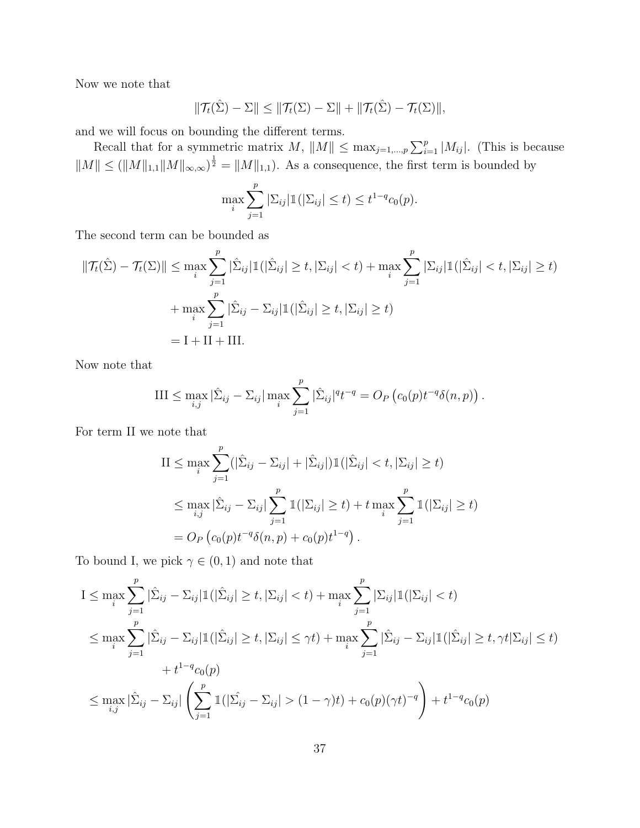Now we note that

$$
\|\mathcal{T}_t(\hat{\Sigma}) - \Sigma\| \le \|\mathcal{T}_t(\Sigma) - \Sigma\| + \|\mathcal{T}_t(\hat{\Sigma}) - \mathcal{T}_t(\Sigma)\|,
$$

and we will focus on bounding the different terms.

Recall that for a symmetric matrix  $M$ ,  $||M|| \leq \max_{j=1,\dots,p} \sum_{i=1}^p |M_{ij}|$ . (This is because  $||M|| \leq (||M||_{1,1}||M||_{\infty,\infty})^{\frac{1}{2}} = ||M||_{1,1}$ . As a consequence, the first term is bounded by

$$
\max_{i} \sum_{j=1}^{p} |\Sigma_{ij}| \mathbb{1}(|\Sigma_{ij}| \le t) \le t^{1-q} c_0(p).
$$

The second term can be bounded as

$$
\|\mathcal{T}_t(\hat{\Sigma}) - \mathcal{T}_t(\Sigma)\| \le \max_i \sum_{j=1}^p |\hat{\Sigma}_{ij}| \mathbb{1}(|\hat{\Sigma}_{ij}| \ge t, |\Sigma_{ij}| < t) + \max_i \sum_{j=1}^p |\Sigma_{ij}| \mathbb{1}(|\hat{\Sigma}_{ij}| < t, |\Sigma_{ij}| \ge t)
$$

$$
+ \max_i \sum_{j=1}^p |\hat{\Sigma}_{ij} - \Sigma_{ij}| \mathbb{1}(|\hat{\Sigma}_{ij}| \ge t, |\Sigma_{ij}| \ge t)
$$

$$
= \mathbf{I} + \mathbf{II} + \mathbf{III}.
$$

Now note that

III 
$$
\leq \max_{i,j} |\hat{\Sigma}_{ij} - \Sigma_{ij}| \max_{i} \sum_{j=1}^{p} |\hat{\Sigma}_{ij}|^{q} t^{-q} = O_P (c_0(p) t^{-q} \delta(n, p)).
$$

For term II we note that

$$
\begin{split} \text{II} &\leq \max_{i} \sum_{j=1}^{p} (|\hat{\Sigma}_{ij} - \Sigma_{ij}| + |\hat{\Sigma}_{ij}|) \mathbb{1}(|\hat{\Sigma}_{ij}| < t, |\Sigma_{ij}| \geq t) \\ &\leq \max_{i,j} |\hat{\Sigma}_{ij} - \Sigma_{ij}| \sum_{j=1}^{p} \mathbb{1}(|\Sigma_{ij}| \geq t) + t \max_{i} \sum_{j=1}^{p} \mathbb{1}(|\Sigma_{ij}| \geq t) \\ &= O_P\left(c_0(p)t^{-q}\delta(n, p) + c_0(p)t^{1-q}\right). \end{split}
$$

To bound I, we pick  $\gamma \in (0,1)$  and note that

$$
I \leq \max_{i} \sum_{j=1}^{p} |\hat{\Sigma}_{ij} - \Sigma_{ij}| \mathbb{1}(|\hat{\Sigma}_{ij}| \geq t, |\Sigma_{ij}| < t) + \max_{i} \sum_{j=1}^{p} |\Sigma_{ij}| \mathbb{1}(|\Sigma_{ij}| < t)
$$
  
\n
$$
\leq \max_{i} \sum_{j=1}^{p} |\hat{\Sigma}_{ij} - \Sigma_{ij}| \mathbb{1}(|\hat{\Sigma}_{ij}| \geq t, |\Sigma_{ij}| \leq \gamma t) + \max_{i} \sum_{j=1}^{p} |\hat{\Sigma}_{ij} - \Sigma_{ij}| \mathbb{1}(|\hat{\Sigma}_{ij}| \geq t, \gamma t | \Sigma_{ij}| \leq t)
$$
  
\n
$$
+ t^{1-q} c_0(p)
$$
  
\n
$$
\leq \max_{i,j} |\hat{\Sigma}_{ij} - \Sigma_{ij}| \left( \sum_{j=1}^{p} \mathbb{1}(|\hat{\Sigma}_{ij} - \Sigma_{ij}| > (1 - \gamma)t) + c_0(p)(\gamma t)^{-q} \right) + t^{1-q} c_0(p)
$$